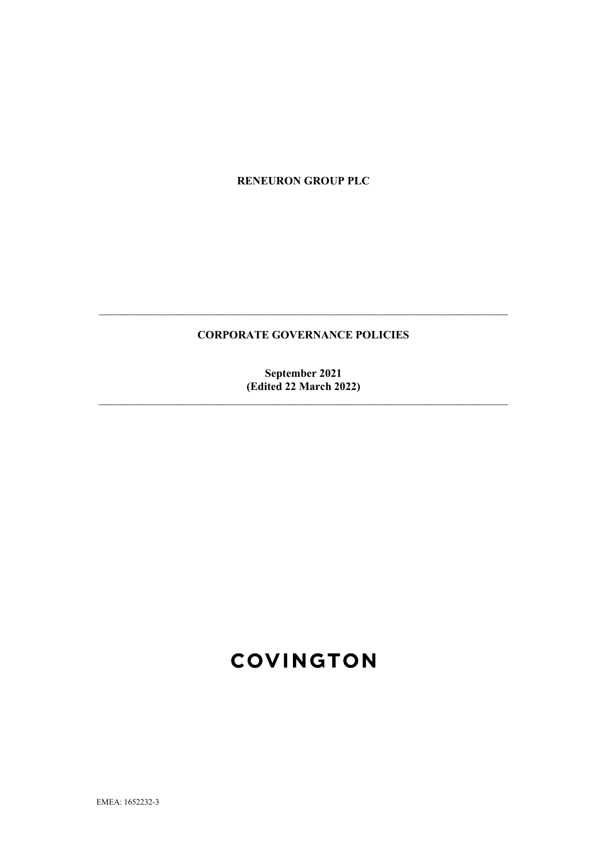**RENEURON GROUP PLC**

# **CORPORATE GOVERNANCE POLICIES**

 $\_$  , and the contribution of the contribution of  $\mathcal{L}_\mathcal{A}$  , and the contribution of  $\mathcal{L}_\mathcal{A}$ 

**September 2021 (Edited 22 March 2022)**

 $\_$  , and the set of the set of the set of the set of the set of the set of the set of the set of the set of the set of the set of the set of the set of the set of the set of the set of the set of the set of the set of th

# **COVINGTON**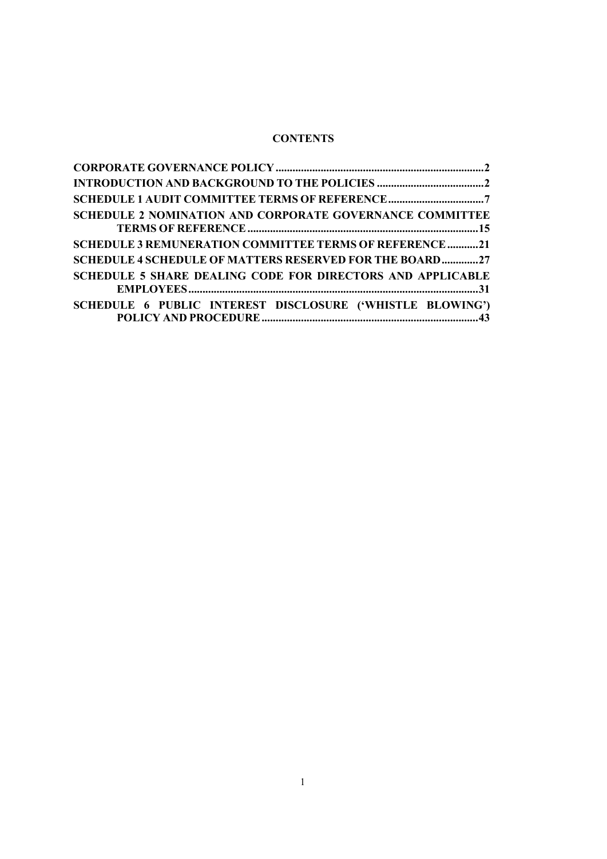# **CONTENTS**

| <b>SCHEDULE 2 NOMINATION AND CORPORATE GOVERNANCE COMMITTEE</b>   |  |
|-------------------------------------------------------------------|--|
| <b>SCHEDULE 3 REMUNERATION COMMITTEE TERMS OF REFERENCE21</b>     |  |
| <b>SCHEDULE 4 SCHEDULE OF MATTERS RESERVED FOR THE BOARD27</b>    |  |
| <b>SCHEDULE 5 SHARE DEALING CODE FOR DIRECTORS AND APPLICABLE</b> |  |
| SCHEDULE 6 PUBLIC INTEREST DISCLOSURE ('WHISTLE BLOWING')         |  |
|                                                                   |  |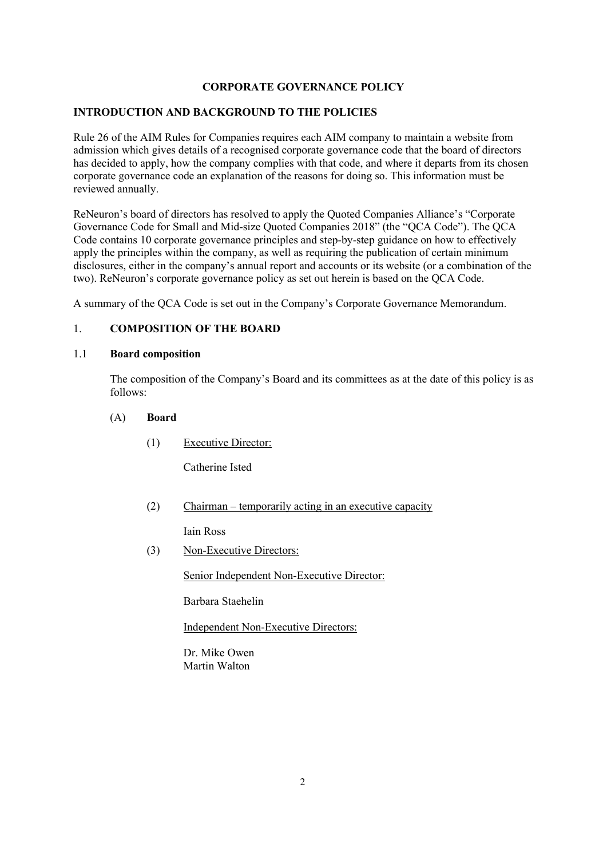# **CORPORATE GOVERNANCE POLICY**

## **INTRODUCTION AND BACKGROUND TO THE POLICIES**

Rule 26 of the AIM Rules for Companies requires each AIM company to maintain a website from admission which gives details of a recognised corporate governance code that the board of directors has decided to apply, how the company complies with that code, and where it departs from its chosen corporate governance code an explanation of the reasons for doing so. This information must be reviewed annually.

ReNeuron's board of directors has resolved to apply the Quoted Companies Alliance's "Corporate Governance Code for Small and Mid-size Quoted Companies 2018" (the "QCA Code"). The QCA Code contains 10 corporate governance principles and step-by-step guidance on how to effectively apply the principles within the company, as well as requiring the publication of certain minimum disclosures, either in the company's annual report and accounts or its website (or a combination of the two). ReNeuron's corporate governance policy as set out herein is based on the QCA Code.

A summary of the QCA Code is set out in the Company's Corporate Governance Memorandum.

## 1. **COMPOSITION OF THE BOARD**

#### 1.1 **Board composition**

The composition of the Company's Board and its committees as at the date of this policy is as follows:

(A) **Board**

(1) Executive Director:

Catherine Isted

(2) Chairman – temporarily acting in an executive capacity

Iain Ross

(3) Non-Executive Directors:

Senior Independent Non-Executive Director:

Barbara Staehelin

Independent Non-Executive Directors:

Dr. Mike Owen Martin Walton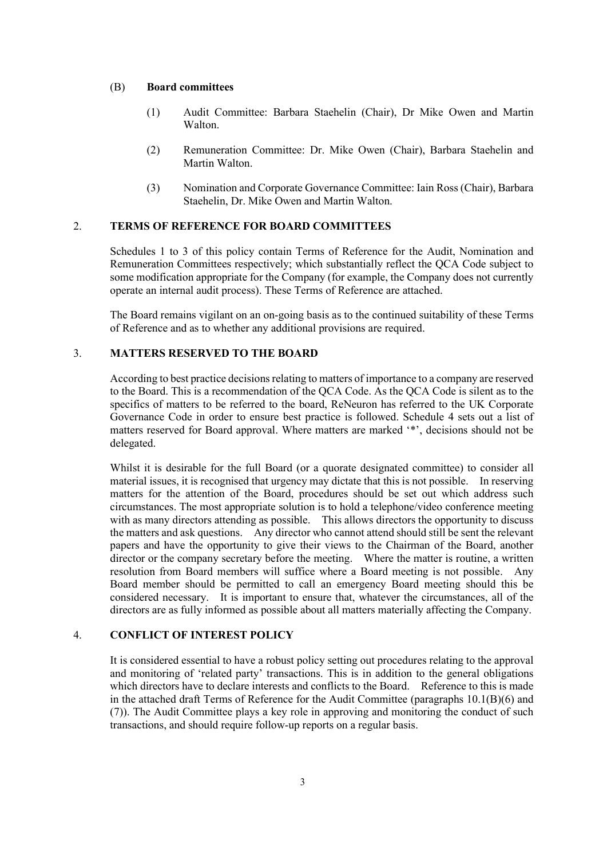#### (B) **Board committees**

- (1) Audit Committee: Barbara Staehelin (Chair), Dr Mike Owen and Martin Walton.
- (2) Remuneration Committee: Dr. Mike Owen (Chair), Barbara Staehelin and Martin Walton.
- (3) Nomination and Corporate Governance Committee: Iain Ross (Chair), Barbara Staehelin, Dr. Mike Owen and Martin Walton.

## 2. **TERMS OF REFERENCE FOR BOARD COMMITTEES**

Schedules 1 to 3 of this policy contain Terms of Reference for the Audit, Nomination and Remuneration Committees respectively; which substantially reflect the QCA Code subject to some modification appropriate for the Company (for example, the Company does not currently operate an internal audit process). These Terms of Reference are attached.

The Board remains vigilant on an on-going basis as to the continued suitability of these Terms of Reference and as to whether any additional provisions are required.

## 3. **MATTERS RESERVED TO THE BOARD**

According to best practice decisions relating to matters of importance to a company are reserved to the Board. This is a recommendation of the QCA Code. As the QCA Code is silent as to the specifics of matters to be referred to the board, ReNeuron has referred to the UK Corporate Governance Code in order to ensure best practice is followed. Schedule 4 sets out a list of matters reserved for Board approval. Where matters are marked '\*', decisions should not be delegated.

Whilst it is desirable for the full Board (or a quorate designated committee) to consider all material issues, it is recognised that urgency may dictate that this is not possible. In reserving matters for the attention of the Board, procedures should be set out which address such circumstances. The most appropriate solution is to hold a telephone/video conference meeting with as many directors attending as possible. This allows directors the opportunity to discuss the matters and ask questions. Any director who cannot attend should still be sent the relevant papers and have the opportunity to give their views to the Chairman of the Board, another director or the company secretary before the meeting. Where the matter is routine, a written resolution from Board members will suffice where a Board meeting is not possible. Any Board member should be permitted to call an emergency Board meeting should this be considered necessary. It is important to ensure that, whatever the circumstances, all of the directors are as fully informed as possible about all matters materially affecting the Company.

# 4. **CONFLICT OF INTEREST POLICY**

It is considered essential to have a robust policy setting out procedures relating to the approval and monitoring of 'related party' transactions. This is in addition to the general obligations which directors have to declare interests and conflicts to the Board. Reference to this is made in the attached draft Terms of Reference for the Audit Committee (paragraphs [10.1\(B\)\(6\)](#page-10-0) and [\(7\)\)](#page-10-1). The Audit Committee plays a key role in approving and monitoring the conduct of such transactions, and should require follow-up reports on a regular basis.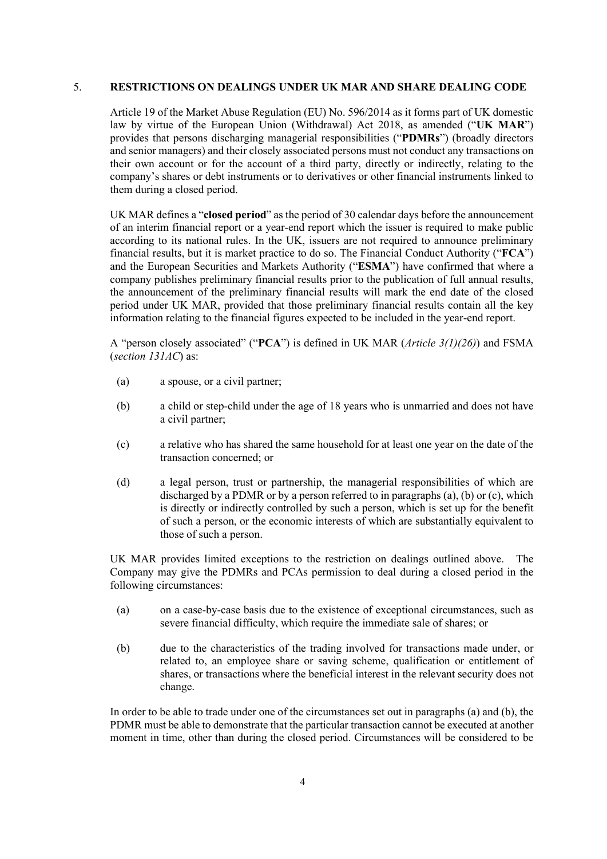#### 5. **RESTRICTIONS ON DEALINGS UNDER UK MAR AND SHARE DEALING CODE**

Article 19 of the Market Abuse Regulation (EU) No. 596/2014 as it forms part of UK domestic law by virtue of the European Union (Withdrawal) Act 2018, as amended ("**UK MAR**") provides that persons discharging managerial responsibilities ("**PDMRs**") (broadly directors and senior managers) and their closely associated persons must not conduct any transactions on their own account or for the account of a third party, directly or indirectly, relating to the company's shares or debt instruments or to derivatives or other financial instruments linked to them during a closed period.

UK MAR defines a "**closed period**" as the period of 30 calendar days before the announcement of an interim financial report or a year-end report which the issuer is required to make public according to its national rules. In the UK, issuers are not required to announce preliminary financial results, but it is market practice to do so. The Financial Conduct Authority ("**FCA**") and the European Securities and Markets Authority ("**ESMA**") have confirmed that where a company publishes preliminary financial results prior to the publication of full annual results, the announcement of the preliminary financial results will mark the end date of the closed period under UK MAR, provided that those preliminary financial results contain all the key information relating to the financial figures expected to be included in the year-end report.

A "person closely associated" ("**PCA**") is defined in UK MAR (*Article 3(1)(26)*) and FSMA (*section 131AC*) as:

- (a) a spouse, or a civil partner;
- (b) a child or step-child under the age of 18 years who is unmarried and does not have a civil partner;
- (c) a relative who has shared the same household for at least one year on the date of the transaction concerned; or
- (d) a legal person, trust or partnership, the managerial responsibilities of which are discharged by a PDMR or by a person referred to in paragraphs (a), (b) or (c), which is directly or indirectly controlled by such a person, which is set up for the benefit of such a person, or the economic interests of which are substantially equivalent to those of such a person.

UK MAR provides limited exceptions to the restriction on dealings outlined above. The Company may give the PDMRs and PCAs permission to deal during a closed period in the following circumstances:

- (a) on a case-by-case basis due to the existence of exceptional circumstances, such as severe financial difficulty, which require the immediate sale of shares; or
- (b) due to the characteristics of the trading involved for transactions made under, or related to, an employee share or saving scheme, qualification or entitlement of shares, or transactions where the beneficial interest in the relevant security does not change.

In order to be able to trade under one of the circumstances set out in paragraphs (a) and (b), the PDMR must be able to demonstrate that the particular transaction cannot be executed at another moment in time, other than during the closed period. Circumstances will be considered to be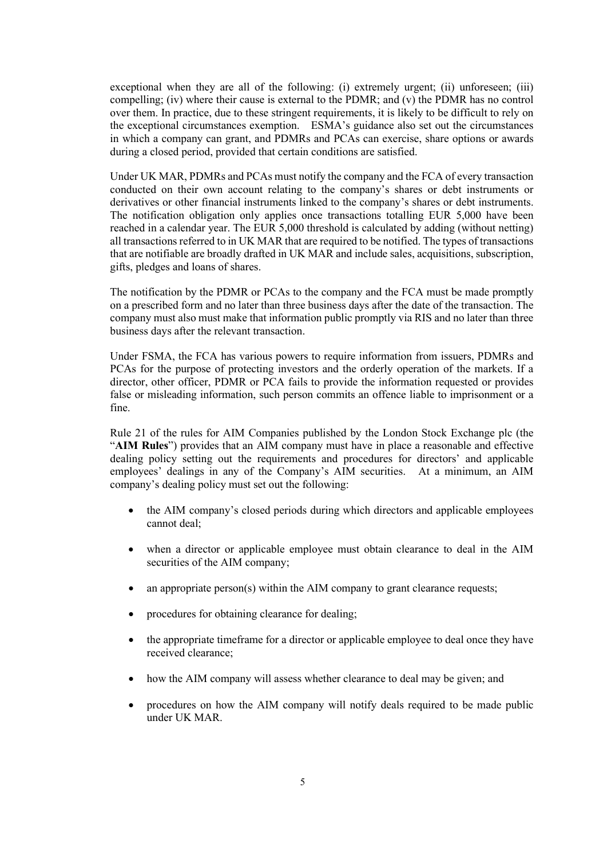exceptional when they are all of the following: (i) extremely urgent; (ii) unforeseen; (iii) compelling; (iv) where their cause is external to the PDMR; and (v) the PDMR has no control over them. In practice, due to these stringent requirements, it is likely to be difficult to rely on the exceptional circumstances exemption. ESMA's guidance also set out the circumstances in which a company can grant, and PDMRs and PCAs can exercise, share options or awards during a closed period, provided that certain conditions are satisfied.

Under UK MAR, PDMRs and PCAs must notify the company and the FCA of every transaction conducted on their own account relating to the company's shares or debt instruments or derivatives or other financial instruments linked to the company's shares or debt instruments. The notification obligation only applies once transactions totalling EUR 5,000 have been reached in a calendar year. The EUR 5,000 threshold is calculated by adding (without netting) all transactions referred to in UK MAR that are required to be notified. The types of transactions that are notifiable are broadly drafted in UK MAR and include sales, acquisitions, subscription, gifts, pledges and loans of shares.

The notification by the PDMR or PCAs to the company and the FCA must be made promptly on a prescribed form and no later than three business days after the date of the transaction. The company must also must make that information public promptly via RIS and no later than three business days after the relevant transaction.

Under FSMA, the FCA has various powers to require information from issuers, PDMRs and PCAs for the purpose of protecting investors and the orderly operation of the markets. If a director, other officer, PDMR or PCA fails to provide the information requested or provides false or misleading information, such person commits an offence liable to imprisonment or a fine.

Rule 21 of the rules for AIM Companies published by the London Stock Exchange plc (the "**AIM Rules**") provides that an AIM company must have in place a reasonable and effective dealing policy setting out the requirements and procedures for directors' and applicable employees' dealings in any of the Company's AIM securities. At a minimum, an AIM company's dealing policy must set out the following:

- the AIM company's closed periods during which directors and applicable employees cannot deal;
- when a director or applicable employee must obtain clearance to deal in the AIM securities of the AIM company;
- an appropriate person(s) within the AIM company to grant clearance requests;
- procedures for obtaining clearance for dealing;
- the appropriate timeframe for a director or applicable employee to deal once they have received clearance;
- how the AIM company will assess whether clearance to deal may be given; and
- procedures on how the AIM company will notify deals required to be made public under UK MAR.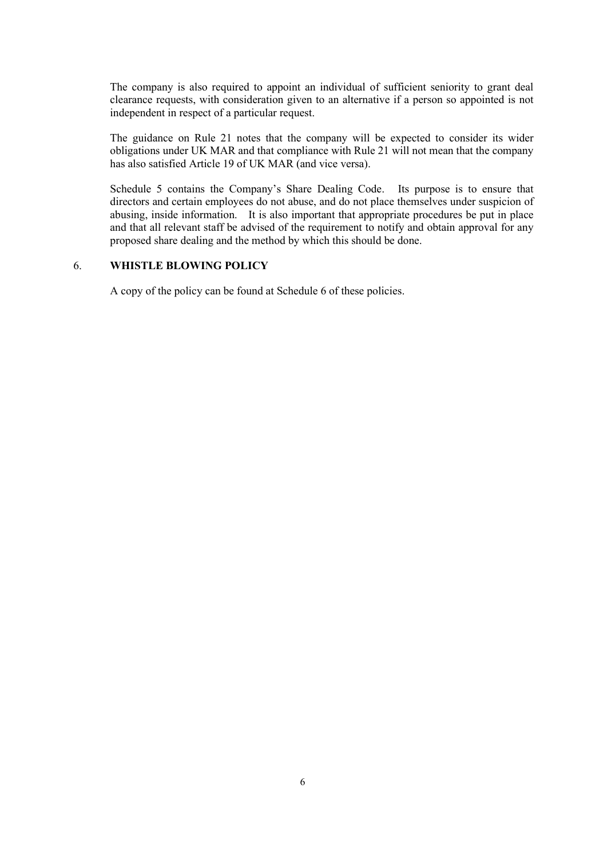The company is also required to appoint an individual of sufficient seniority to grant deal clearance requests, with consideration given to an alternative if a person so appointed is not independent in respect of a particular request.

The guidance on Rule 21 notes that the company will be expected to consider its wider obligations under UK MAR and that compliance with Rule 21 will not mean that the company has also satisfied Article 19 of UK MAR (and vice versa).

Schedule 5 contains the Company's Share Dealing Code. Its purpose is to ensure that directors and certain employees do not abuse, and do not place themselves under suspicion of abusing, inside information. It is also important that appropriate procedures be put in place and that all relevant staff be advised of the requirement to notify and obtain approval for any proposed share dealing and the method by which this should be done.

# 6. **WHISTLE BLOWING POLICY**

A copy of the policy can be found at Schedule 6 of these policies.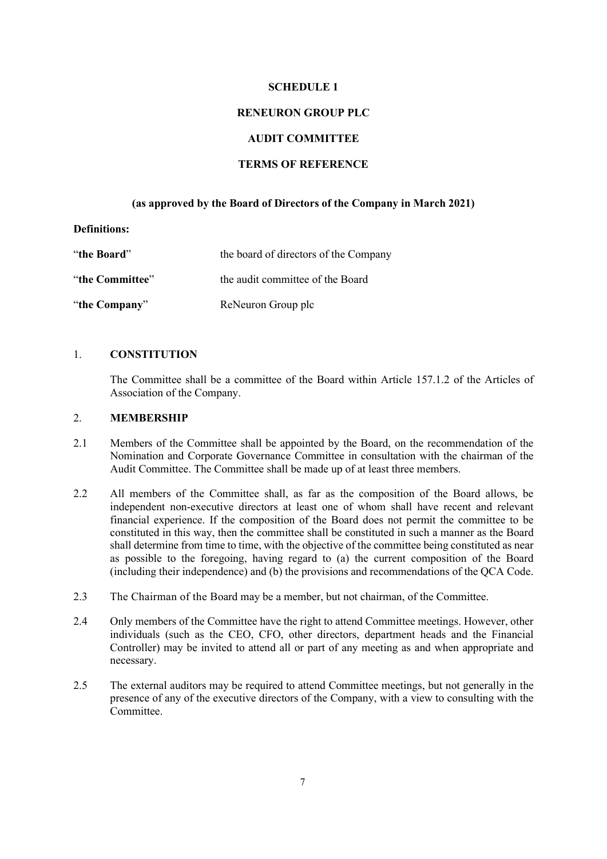#### **SCHEDULE 1**

#### **RENEURON GROUP PLC**

#### **AUDIT COMMITTEE**

### **TERMS OF REFERENCE**

### **(as approved by the Board of Directors of the Company in March 2021)**

#### **Definitions:**

| "the Board"     | the board of directors of the Company |
|-----------------|---------------------------------------|
| "the Committee" | the audit committee of the Board      |
| "the Company"   | ReNeuron Group plc                    |

# 1. **CONSTITUTION**

The Committee shall be a committee of the Board within Article 157.1.2 of the Articles of Association of the Company.

## 2. **MEMBERSHIP**

- 2.1 Members of the Committee shall be appointed by the Board, on the recommendation of the Nomination and Corporate Governance Committee in consultation with the chairman of the Audit Committee. The Committee shall be made up of at least three members.
- 2.2 All members of the Committee shall, as far as the composition of the Board allows, be independent non-executive directors at least one of whom shall have recent and relevant financial experience. If the composition of the Board does not permit the committee to be constituted in this way, then the committee shall be constituted in such a manner as the Board shall determine from time to time, with the objective of the committee being constituted as near as possible to the foregoing, having regard to (a) the current composition of the Board (including their independence) and (b) the provisions and recommendations of the QCA Code.
- 2.3 The Chairman of the Board may be a member, but not chairman, of the Committee.
- 2.4 Only members of the Committee have the right to attend Committee meetings. However, other individuals (such as the CEO, CFO, other directors, department heads and the Financial Controller) may be invited to attend all or part of any meeting as and when appropriate and necessary.
- 2.5 The external auditors may be required to attend Committee meetings, but not generally in the presence of any of the executive directors of the Company, with a view to consulting with the Committee.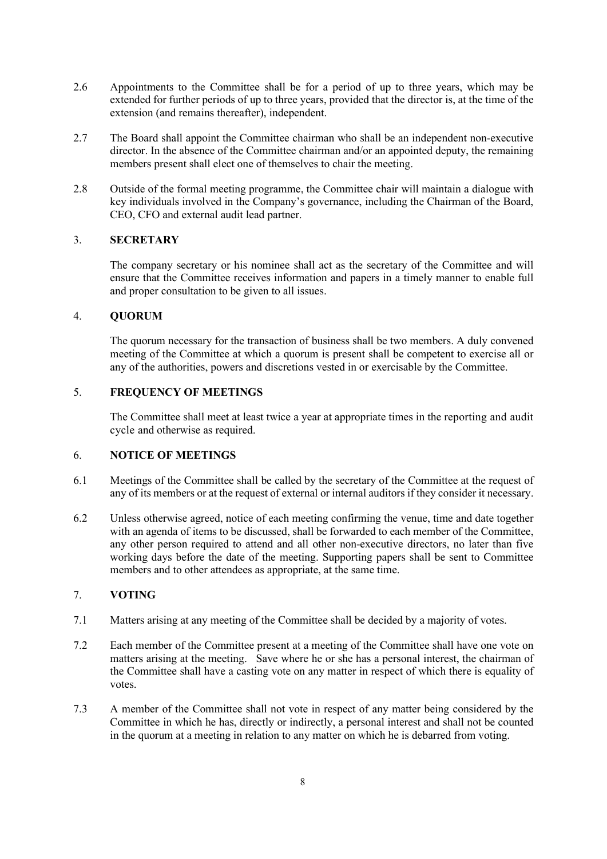- 2.6 Appointments to the Committee shall be for a period of up to three years, which may be extended for further periods of up to three years, provided that the director is, at the time of the extension (and remains thereafter), independent.
- 2.7 The Board shall appoint the Committee chairman who shall be an independent non-executive director. In the absence of the Committee chairman and/or an appointed deputy, the remaining members present shall elect one of themselves to chair the meeting.
- 2.8 Outside of the formal meeting programme, the Committee chair will maintain a dialogue with key individuals involved in the Company's governance, including the Chairman of the Board, CEO, CFO and external audit lead partner.

## 3. **SECRETARY**

The company secretary or his nominee shall act as the secretary of the Committee and will ensure that the Committee receives information and papers in a timely manner to enable full and proper consultation to be given to all issues.

# 4. **QUORUM**

The quorum necessary for the transaction of business shall be two members. A duly convened meeting of the Committee at which a quorum is present shall be competent to exercise all or any of the authorities, powers and discretions vested in or exercisable by the Committee.

# 5. **FREQUENCY OF MEETINGS**

The Committee shall meet at least twice a year at appropriate times in the reporting and audit cycle and otherwise as required.

## 6. **NOTICE OF MEETINGS**

- 6.1 Meetings of the Committee shall be called by the secretary of the Committee at the request of any of its members or at the request of external or internal auditors if they consider it necessary.
- 6.2 Unless otherwise agreed, notice of each meeting confirming the venue, time and date together with an agenda of items to be discussed, shall be forwarded to each member of the Committee, any other person required to attend and all other non-executive directors, no later than five working days before the date of the meeting. Supporting papers shall be sent to Committee members and to other attendees as appropriate, at the same time.

# 7. **VOTING**

- 7.1 Matters arising at any meeting of the Committee shall be decided by a majority of votes.
- 7.2 Each member of the Committee present at a meeting of the Committee shall have one vote on matters arising at the meeting. Save where he or she has a personal interest, the chairman of the Committee shall have a casting vote on any matter in respect of which there is equality of votes.
- 7.3 A member of the Committee shall not vote in respect of any matter being considered by the Committee in which he has, directly or indirectly, a personal interest and shall not be counted in the quorum at a meeting in relation to any matter on which he is debarred from voting.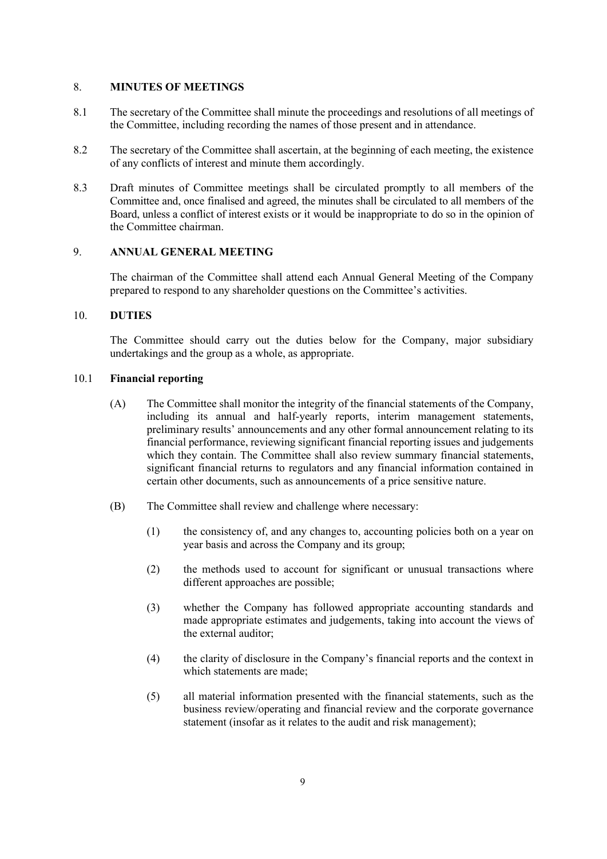#### 8. **MINUTES OF MEETINGS**

- 8.1 The secretary of the Committee shall minute the proceedings and resolutions of all meetings of the Committee, including recording the names of those present and in attendance.
- 8.2 The secretary of the Committee shall ascertain, at the beginning of each meeting, the existence of any conflicts of interest and minute them accordingly.
- 8.3 Draft minutes of Committee meetings shall be circulated promptly to all members of the Committee and, once finalised and agreed, the minutes shall be circulated to all members of the Board, unless a conflict of interest exists or it would be inappropriate to do so in the opinion of the Committee chairman.

#### 9. **ANNUAL GENERAL MEETING**

The chairman of the Committee shall attend each Annual General Meeting of the Company prepared to respond to any shareholder questions on the Committee's activities.

#### 10. **DUTIES**

The Committee should carry out the duties below for the Company, major subsidiary undertakings and the group as a whole, as appropriate.

# 10.1 **Financial reporting**

- (A) The Committee shall monitor the integrity of the financial statements of the Company, including its annual and half-yearly reports, interim management statements, preliminary results' announcements and any other formal announcement relating to its financial performance, reviewing significant financial reporting issues and judgements which they contain. The Committee shall also review summary financial statements, significant financial returns to regulators and any financial information contained in certain other documents, such as announcements of a price sensitive nature.
- (B) The Committee shall review and challenge where necessary:
	- (1) the consistency of, and any changes to, accounting policies both on a year on year basis and across the Company and its group;
	- (2) the methods used to account for significant or unusual transactions where different approaches are possible;
	- (3) whether the Company has followed appropriate accounting standards and made appropriate estimates and judgements, taking into account the views of the external auditor;
	- (4) the clarity of disclosure in the Company's financial reports and the context in which statements are made;
	- (5) all material information presented with the financial statements, such as the business review/operating and financial review and the corporate governance statement (insofar as it relates to the audit and risk management);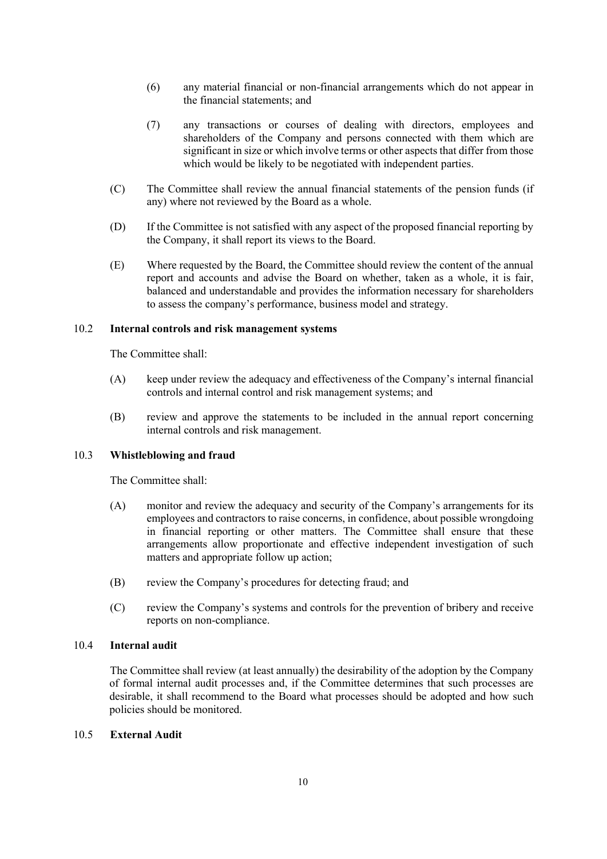- <span id="page-10-0"></span>(6) any material financial or non-financial arrangements which do not appear in the financial statements; and
- <span id="page-10-1"></span>(7) any transactions or courses of dealing with directors, employees and shareholders of the Company and persons connected with them which are significant in size or which involve terms or other aspects that differ from those which would be likely to be negotiated with independent parties.
- (C) The Committee shall review the annual financial statements of the pension funds (if any) where not reviewed by the Board as a whole.
- (D) If the Committee is not satisfied with any aspect of the proposed financial reporting by the Company, it shall report its views to the Board.
- (E) Where requested by the Board, the Committee should review the content of the annual report and accounts and advise the Board on whether, taken as a whole, it is fair, balanced and understandable and provides the information necessary for shareholders to assess the company's performance, business model and strategy.

#### 10.2 **Internal controls and risk management systems**

The Committee shall:

- (A) keep under review the adequacy and effectiveness of the Company's internal financial controls and internal control and risk management systems; and
- (B) review and approve the statements to be included in the annual report concerning internal controls and risk management.

### 10.3 **Whistleblowing and fraud**

The Committee shall:

- (A) monitor and review the adequacy and security of the Company's arrangements for its employees and contractors to raise concerns, in confidence, about possible wrongdoing in financial reporting or other matters. The Committee shall ensure that these arrangements allow proportionate and effective independent investigation of such matters and appropriate follow up action;
- (B) review the Company's procedures for detecting fraud; and
- (C) review the Company's systems and controls for the prevention of bribery and receive reports on non-compliance.

#### 10.4 **Internal audit**

The Committee shall review (at least annually) the desirability of the adoption by the Company of formal internal audit processes and, if the Committee determines that such processes are desirable, it shall recommend to the Board what processes should be adopted and how such policies should be monitored.

#### 10.5 **External Audit**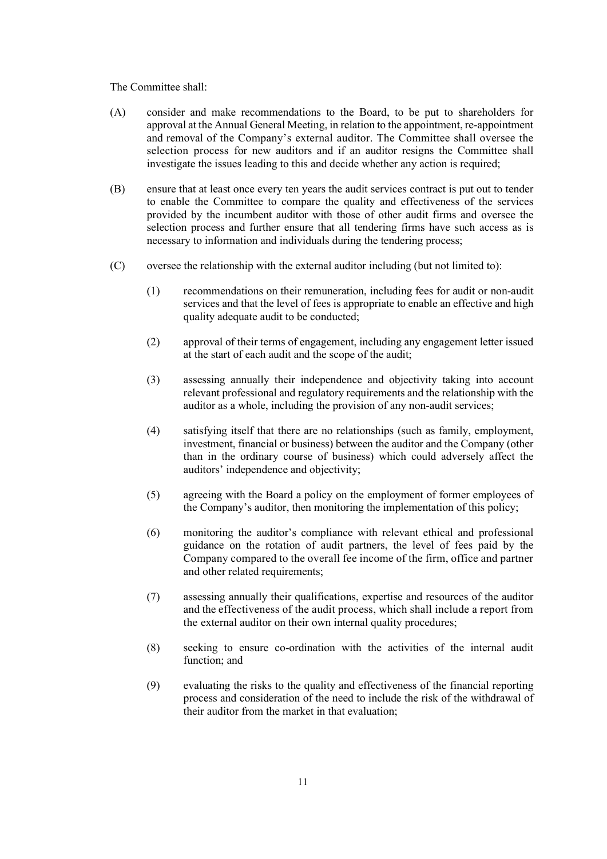The Committee shall:

- (A) consider and make recommendations to the Board, to be put to shareholders for approval at the Annual General Meeting, in relation to the appointment, re-appointment and removal of the Company's external auditor. The Committee shall oversee the selection process for new auditors and if an auditor resigns the Committee shall investigate the issues leading to this and decide whether any action is required;
- (B) ensure that at least once every ten years the audit services contract is put out to tender to enable the Committee to compare the quality and effectiveness of the services provided by the incumbent auditor with those of other audit firms and oversee the selection process and further ensure that all tendering firms have such access as is necessary to information and individuals during the tendering process;
- (C) oversee the relationship with the external auditor including (but not limited to):
	- (1) recommendations on their remuneration, including fees for audit or non-audit services and that the level of fees is appropriate to enable an effective and high quality adequate audit to be conducted;
	- (2) approval of their terms of engagement, including any engagement letter issued at the start of each audit and the scope of the audit;
	- (3) assessing annually their independence and objectivity taking into account relevant professional and regulatory requirements and the relationship with the auditor as a whole, including the provision of any non-audit services;
	- (4) satisfying itself that there are no relationships (such as family, employment, investment, financial or business) between the auditor and the Company (other than in the ordinary course of business) which could adversely affect the auditors' independence and objectivity;
	- (5) agreeing with the Board a policy on the employment of former employees of the Company's auditor, then monitoring the implementation of this policy;
	- (6) monitoring the auditor's compliance with relevant ethical and professional guidance on the rotation of audit partners, the level of fees paid by the Company compared to the overall fee income of the firm, office and partner and other related requirements;
	- (7) assessing annually their qualifications, expertise and resources of the auditor and the effectiveness of the audit process, which shall include a report from the external auditor on their own internal quality procedures;
	- (8) seeking to ensure co-ordination with the activities of the internal audit function; and
	- (9) evaluating the risks to the quality and effectiveness of the financial reporting process and consideration of the need to include the risk of the withdrawal of their auditor from the market in that evaluation;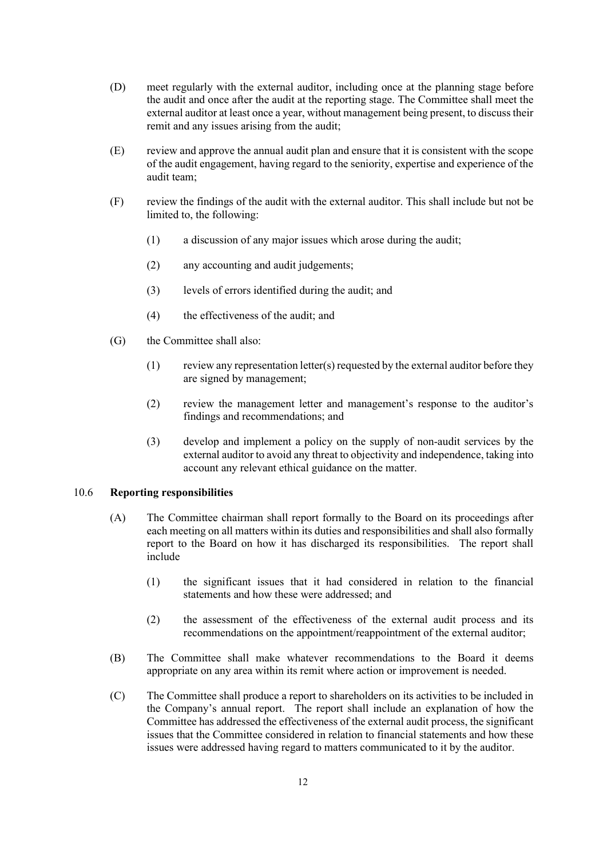- (D) meet regularly with the external auditor, including once at the planning stage before the audit and once after the audit at the reporting stage. The Committee shall meet the external auditor at least once a year, without management being present, to discuss their remit and any issues arising from the audit;
- (E) review and approve the annual audit plan and ensure that it is consistent with the scope of the audit engagement, having regard to the seniority, expertise and experience of the audit team;
- (F) review the findings of the audit with the external auditor. This shall include but not be limited to, the following:
	- (1) a discussion of any major issues which arose during the audit;
	- (2) any accounting and audit judgements;
	- (3) levels of errors identified during the audit; and
	- (4) the effectiveness of the audit; and
- (G) the Committee shall also:
	- $(1)$  review any representation letter(s) requested by the external auditor before they are signed by management;
	- (2) review the management letter and management's response to the auditor's findings and recommendations; and
	- (3) develop and implement a policy on the supply of non-audit services by the external auditor to avoid any threat to objectivity and independence, taking into account any relevant ethical guidance on the matter.

#### 10.6 **Reporting responsibilities**

- (A) The Committee chairman shall report formally to the Board on its proceedings after each meeting on all matters within its duties and responsibilities and shall also formally report to the Board on how it has discharged its responsibilities. The report shall include
	- (1) the significant issues that it had considered in relation to the financial statements and how these were addressed; and
	- (2) the assessment of the effectiveness of the external audit process and its recommendations on the appointment/reappointment of the external auditor;
- (B) The Committee shall make whatever recommendations to the Board it deems appropriate on any area within its remit where action or improvement is needed.
- (C) The Committee shall produce a report to shareholders on its activities to be included in the Company's annual report. The report shall include an explanation of how the Committee has addressed the effectiveness of the external audit process, the significant issues that the Committee considered in relation to financial statements and how these issues were addressed having regard to matters communicated to it by the auditor.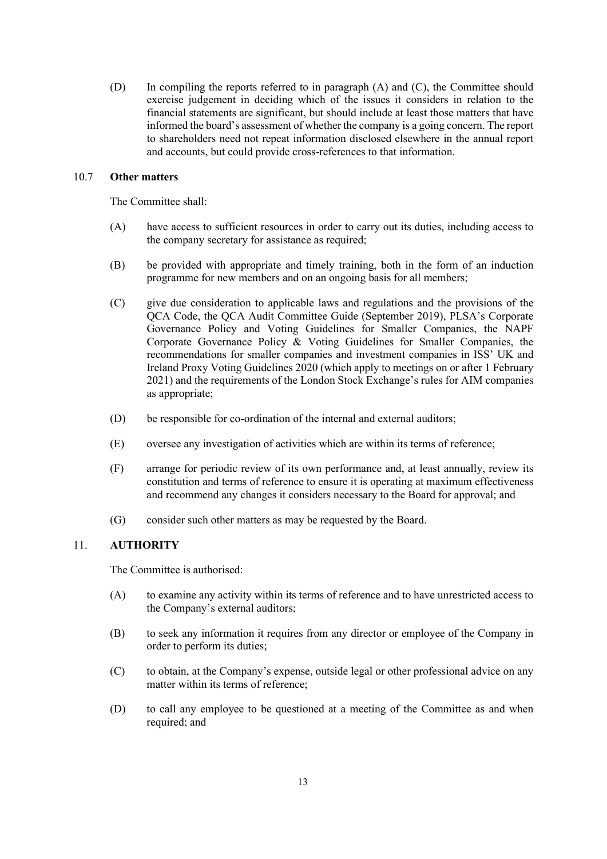(D) In compiling the reports referred to in paragraph (A) and (C), the Committee should exercise judgement in deciding which of the issues it considers in relation to the financial statements are significant, but should include at least those matters that have informed the board's assessment of whether the company is a going concern. The report to shareholders need not repeat information disclosed elsewhere in the annual report and accounts, but could provide cross-references to that information.

#### 10.7 **Other matters**

The Committee shall:

- (A) have access to sufficient resources in order to carry out its duties, including access to the company secretary for assistance as required;
- (B) be provided with appropriate and timely training, both in the form of an induction programme for new members and on an ongoing basis for all members;
- (C) give due consideration to applicable laws and regulations and the provisions of the QCA Code, the QCA Audit Committee Guide (September 2019), PLSA's Corporate Governance Policy and Voting Guidelines for Smaller Companies, the NAPF Corporate Governance Policy & Voting Guidelines for Smaller Companies, the recommendations for smaller companies and investment companies in ISS' UK and Ireland Proxy Voting Guidelines 2020 (which apply to meetings on or after 1 February 2021) and the requirements of the London Stock Exchange's rules for AIM companies as appropriate;
- (D) be responsible for co-ordination of the internal and external auditors;
- (E) oversee any investigation of activities which are within its terms of reference;
- (F) arrange for periodic review of its own performance and, at least annually, review its constitution and terms of reference to ensure it is operating at maximum effectiveness and recommend any changes it considers necessary to the Board for approval; and
- (G) consider such other matters as may be requested by the Board.

# 11. **AUTHORITY**

The Committee is authorised:

- (A) to examine any activity within its terms of reference and to have unrestricted access to the Company's external auditors;
- (B) to seek any information it requires from any director or employee of the Company in order to perform its duties;
- (C) to obtain, at the Company's expense, outside legal or other professional advice on any matter within its terms of reference;
- (D) to call any employee to be questioned at a meeting of the Committee as and when required; and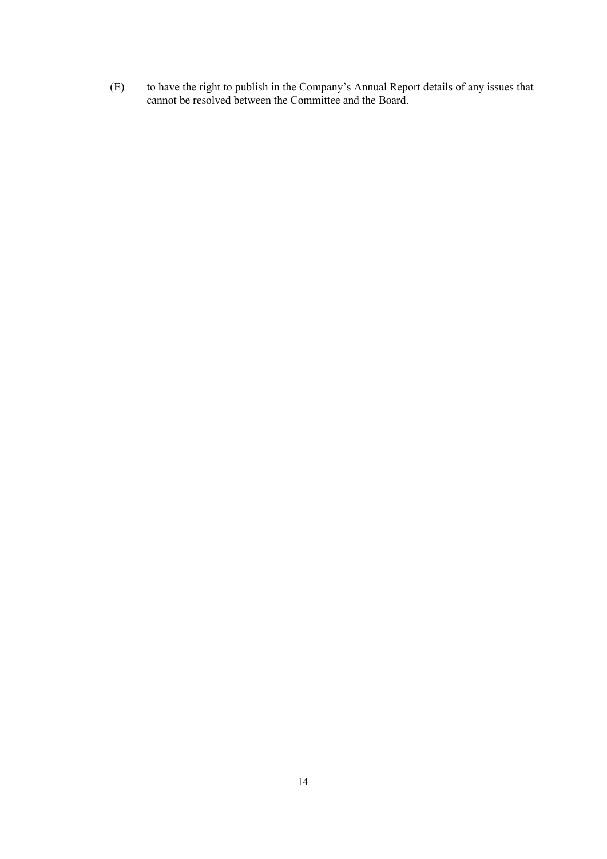(E) to have the right to publish in the Company's Annual Report details of any issues that cannot be resolved between the Committee and the Board.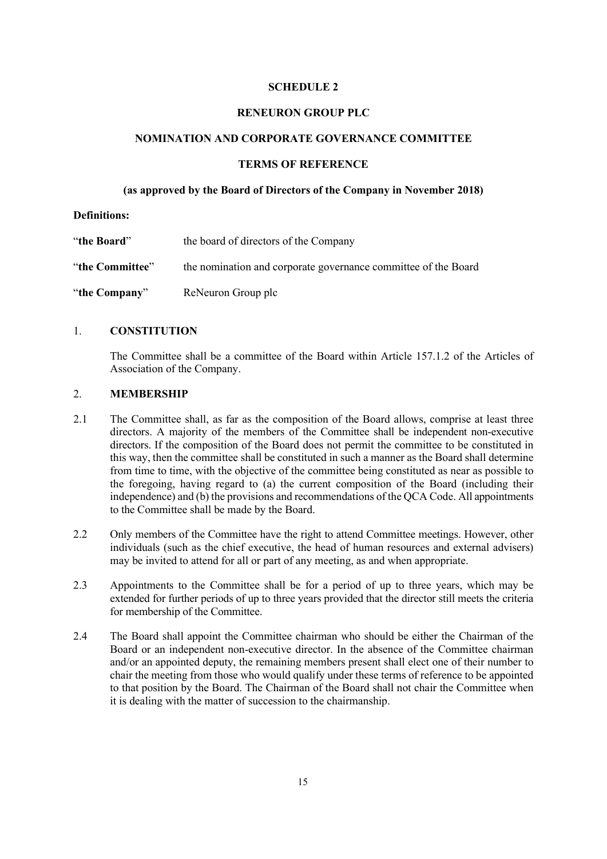## **SCHEDULE 2**

#### **RENEURON GROUP PLC**

#### **NOMINATION AND CORPORATE GOVERNANCE COMMITTEE**

### **TERMS OF REFERENCE**

#### **(as approved by the Board of Directors of the Company in November 2018)**

#### **Definitions:**

| "the Board"     | the board of directors of the Company                          |
|-----------------|----------------------------------------------------------------|
| "the Committee" | the nomination and corporate governance committee of the Board |
| "the Company"   | ReNeuron Group plc                                             |

## 1. **CONSTITUTION**

The Committee shall be a committee of the Board within Article 157.1.2 of the Articles of Association of the Company.

#### 2. **MEMBERSHIP**

- 2.1 The Committee shall, as far as the composition of the Board allows, comprise at least three directors. A majority of the members of the Committee shall be independent non-executive directors. If the composition of the Board does not permit the committee to be constituted in this way, then the committee shall be constituted in such a manner as the Board shall determine from time to time, with the objective of the committee being constituted as near as possible to the foregoing, having regard to (a) the current composition of the Board (including their independence) and (b) the provisions and recommendations of the QCA Code. All appointments to the Committee shall be made by the Board.
- 2.2 Only members of the Committee have the right to attend Committee meetings. However, other individuals (such as the chief executive, the head of human resources and external advisers) may be invited to attend for all or part of any meeting, as and when appropriate.
- 2.3 Appointments to the Committee shall be for a period of up to three years, which may be extended for further periods of up to three years provided that the director still meets the criteria for membership of the Committee.
- 2.4 The Board shall appoint the Committee chairman who should be either the Chairman of the Board or an independent non-executive director. In the absence of the Committee chairman and/or an appointed deputy, the remaining members present shall elect one of their number to chair the meeting from those who would qualify under these terms of reference to be appointed to that position by the Board. The Chairman of the Board shall not chair the Committee when it is dealing with the matter of succession to the chairmanship.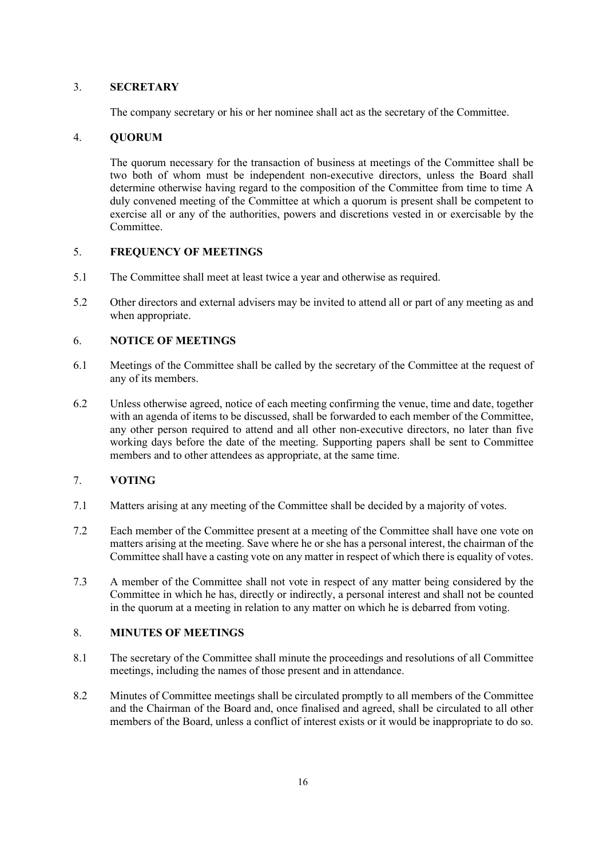## 3. **SECRETARY**

The company secretary or his or her nominee shall act as the secretary of the Committee.

# 4. **QUORUM**

The quorum necessary for the transaction of business at meetings of the Committee shall be two both of whom must be independent non-executive directors, unless the Board shall determine otherwise having regard to the composition of the Committee from time to time A duly convened meeting of the Committee at which a quorum is present shall be competent to exercise all or any of the authorities, powers and discretions vested in or exercisable by the Committee.

# 5. **FREQUENCY OF MEETINGS**

- 5.1 The Committee shall meet at least twice a year and otherwise as required.
- 5.2 Other directors and external advisers may be invited to attend all or part of any meeting as and when appropriate.

# 6. **NOTICE OF MEETINGS**

- 6.1 Meetings of the Committee shall be called by the secretary of the Committee at the request of any of its members.
- 6.2 Unless otherwise agreed, notice of each meeting confirming the venue, time and date, together with an agenda of items to be discussed, shall be forwarded to each member of the Committee, any other person required to attend and all other non-executive directors, no later than five working days before the date of the meeting. Supporting papers shall be sent to Committee members and to other attendees as appropriate, at the same time.

# 7. **VOTING**

- 7.1 Matters arising at any meeting of the Committee shall be decided by a majority of votes.
- 7.2 Each member of the Committee present at a meeting of the Committee shall have one vote on matters arising at the meeting. Save where he or she has a personal interest, the chairman of the Committee shall have a casting vote on any matter in respect of which there is equality of votes.
- 7.3 A member of the Committee shall not vote in respect of any matter being considered by the Committee in which he has, directly or indirectly, a personal interest and shall not be counted in the quorum at a meeting in relation to any matter on which he is debarred from voting.

## 8. **MINUTES OF MEETINGS**

- 8.1 The secretary of the Committee shall minute the proceedings and resolutions of all Committee meetings, including the names of those present and in attendance.
- 8.2 Minutes of Committee meetings shall be circulated promptly to all members of the Committee and the Chairman of the Board and, once finalised and agreed, shall be circulated to all other members of the Board, unless a conflict of interest exists or it would be inappropriate to do so.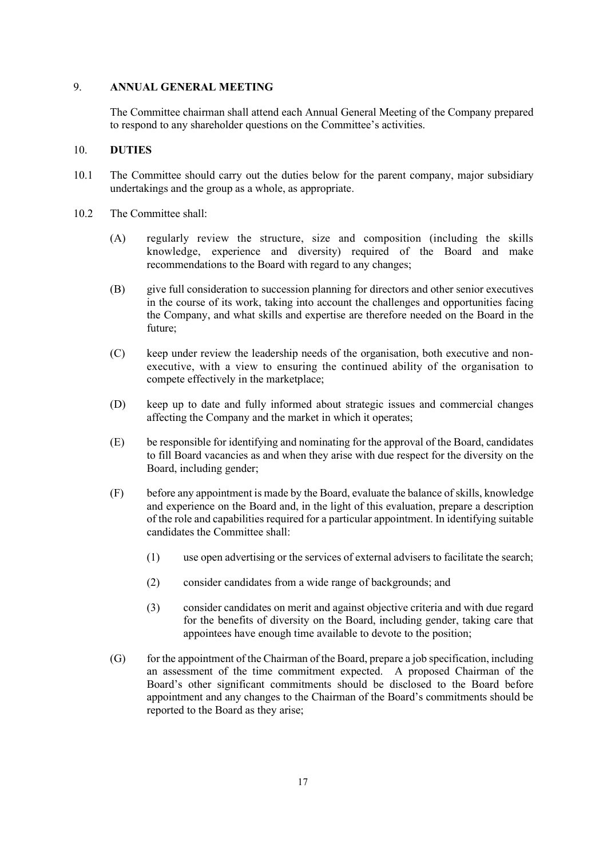## 9. **ANNUAL GENERAL MEETING**

The Committee chairman shall attend each Annual General Meeting of the Company prepared to respond to any shareholder questions on the Committee's activities.

#### 10. **DUTIES**

- 10.1 The Committee should carry out the duties below for the parent company, major subsidiary undertakings and the group as a whole, as appropriate.
- 10.2 The Committee shall:
	- (A) regularly review the structure, size and composition (including the skills knowledge, experience and diversity) required of the Board and make recommendations to the Board with regard to any changes;
	- (B) give full consideration to succession planning for directors and other senior executives in the course of its work, taking into account the challenges and opportunities facing the Company, and what skills and expertise are therefore needed on the Board in the future;
	- (C) keep under review the leadership needs of the organisation, both executive and nonexecutive, with a view to ensuring the continued ability of the organisation to compete effectively in the marketplace;
	- (D) keep up to date and fully informed about strategic issues and commercial changes affecting the Company and the market in which it operates;
	- (E) be responsible for identifying and nominating for the approval of the Board, candidates to fill Board vacancies as and when they arise with due respect for the diversity on the Board, including gender;
	- (F) before any appointment is made by the Board, evaluate the balance of skills, knowledge and experience on the Board and, in the light of this evaluation, prepare a description of the role and capabilities required for a particular appointment. In identifying suitable candidates the Committee shall:
		- (1) use open advertising or the services of external advisers to facilitate the search;
		- (2) consider candidates from a wide range of backgrounds; and
		- (3) consider candidates on merit and against objective criteria and with due regard for the benefits of diversity on the Board, including gender, taking care that appointees have enough time available to devote to the position;
	- $(G)$  for the appointment of the Chairman of the Board, prepare a job specification, including an assessment of the time commitment expected. A proposed Chairman of the Board's other significant commitments should be disclosed to the Board before appointment and any changes to the Chairman of the Board's commitments should be reported to the Board as they arise;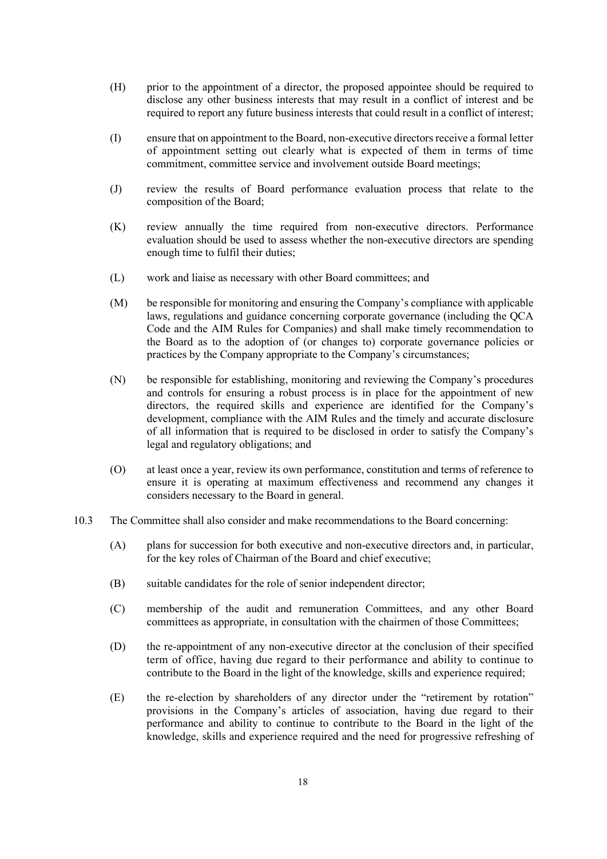- (H) prior to the appointment of a director, the proposed appointee should be required to disclose any other business interests that may result in a conflict of interest and be required to report any future business interests that could result in a conflict of interest;
- (I) ensure that on appointment to the Board, non-executive directors receive a formal letter of appointment setting out clearly what is expected of them in terms of time commitment, committee service and involvement outside Board meetings;
- (J) review the results of Board performance evaluation process that relate to the composition of the Board;
- (K) review annually the time required from non-executive directors. Performance evaluation should be used to assess whether the non-executive directors are spending enough time to fulfil their duties;
- (L) work and liaise as necessary with other Board committees; and
- (M) be responsible for monitoring and ensuring the Company's compliance with applicable laws, regulations and guidance concerning corporate governance (including the QCA Code and the AIM Rules for Companies) and shall make timely recommendation to the Board as to the adoption of (or changes to) corporate governance policies or practices by the Company appropriate to the Company's circumstances;
- (N) be responsible for establishing, monitoring and reviewing the Company's procedures and controls for ensuring a robust process is in place for the appointment of new directors, the required skills and experience are identified for the Company's development, compliance with the AIM Rules and the timely and accurate disclosure of all information that is required to be disclosed in order to satisfy the Company's legal and regulatory obligations; and
- (O) at least once a year, review its own performance, constitution and terms of reference to ensure it is operating at maximum effectiveness and recommend any changes it considers necessary to the Board in general.
- 10.3 The Committee shall also consider and make recommendations to the Board concerning:
	- (A) plans for succession for both executive and non-executive directors and, in particular, for the key roles of Chairman of the Board and chief executive;
	- (B) suitable candidates for the role of senior independent director;
	- (C) membership of the audit and remuneration Committees, and any other Board committees as appropriate, in consultation with the chairmen of those Committees;
	- (D) the re-appointment of any non-executive director at the conclusion of their specified term of office, having due regard to their performance and ability to continue to contribute to the Board in the light of the knowledge, skills and experience required;
	- (E) the re-election by shareholders of any director under the "retirement by rotation" provisions in the Company's articles of association, having due regard to their performance and ability to continue to contribute to the Board in the light of the knowledge, skills and experience required and the need for progressive refreshing of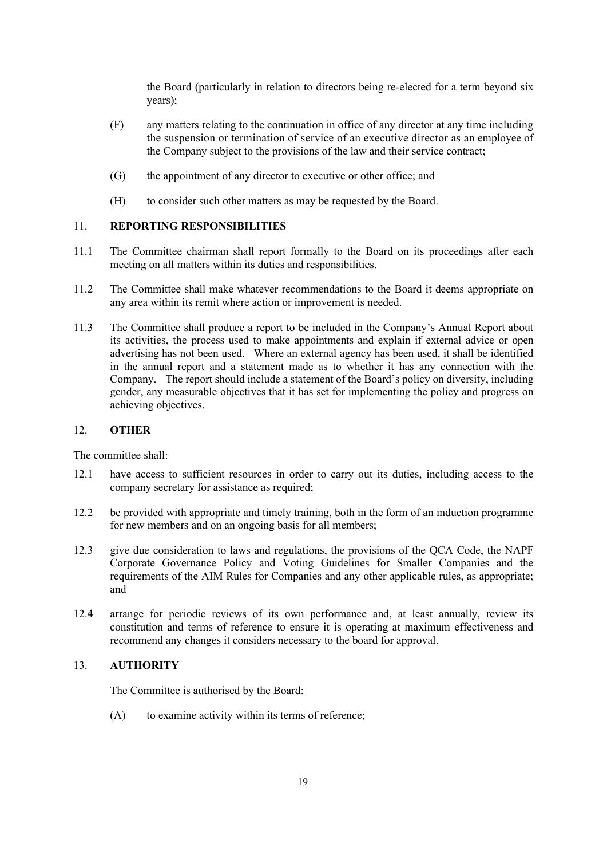the Board (particularly in relation to directors being re-elected for a term beyond six years);

- (F) any matters relating to the continuation in office of any director at any time including the suspension or termination of service of an executive director as an employee of the Company subject to the provisions of the law and their service contract;
- (G) the appointment of any director to executive or other office; and
- (H) to consider such other matters as may be requested by the Board.

#### 11. **REPORTING RESPONSIBILITIES**

- 11.1 The Committee chairman shall report formally to the Board on its proceedings after each meeting on all matters within its duties and responsibilities.
- 11.2 The Committee shall make whatever recommendations to the Board it deems appropriate on any area within its remit where action or improvement is needed.
- 11.3 The Committee shall produce a report to be included in the Company's Annual Report about its activities, the process used to make appointments and explain if external advice or open advertising has not been used. Where an external agency has been used, it shall be identified in the annual report and a statement made as to whether it has any connection with the Company. The report should include a statement of the Board's policy on diversity, including gender, any measurable objectives that it has set for implementing the policy and progress on achieving objectives.

# 12. **OTHER**

The committee shall:

- 12.1 have access to sufficient resources in order to carry out its duties, including access to the company secretary for assistance as required;
- 12.2 be provided with appropriate and timely training, both in the form of an induction programme for new members and on an ongoing basis for all members;
- 12.3 give due consideration to laws and regulations, the provisions of the QCA Code, the NAPF Corporate Governance Policy and Voting Guidelines for Smaller Companies and the requirements of the AIM Rules for Companies and any other applicable rules, as appropriate; and
- 12.4 arrange for periodic reviews of its own performance and, at least annually, review its constitution and terms of reference to ensure it is operating at maximum effectiveness and recommend any changes it considers necessary to the board for approval.

## 13. **AUTHORITY**

The Committee is authorised by the Board:

(A) to examine activity within its terms of reference;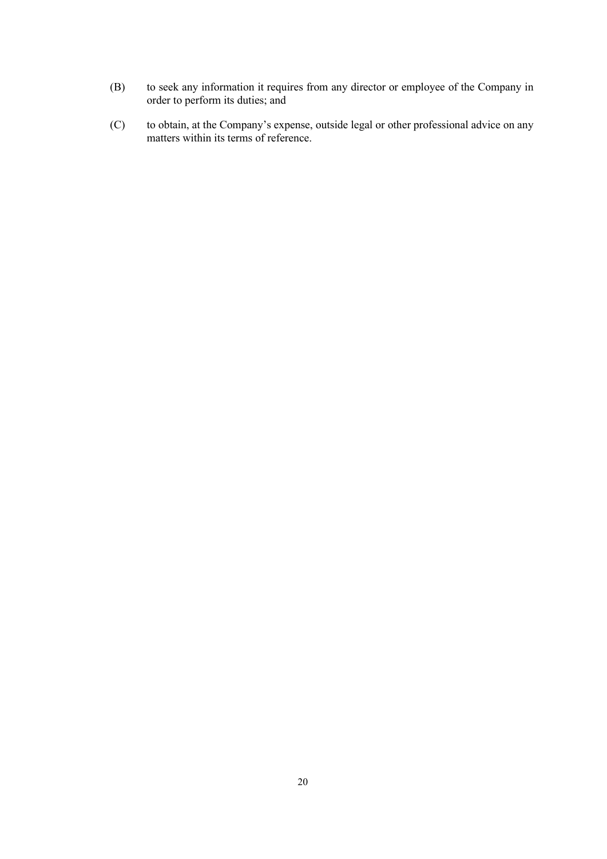- (B) to seek any information it requires from any director or employee of the Company in order to perform its duties; and
- (C) to obtain, at the Company's expense, outside legal or other professional advice on any matters within its terms of reference.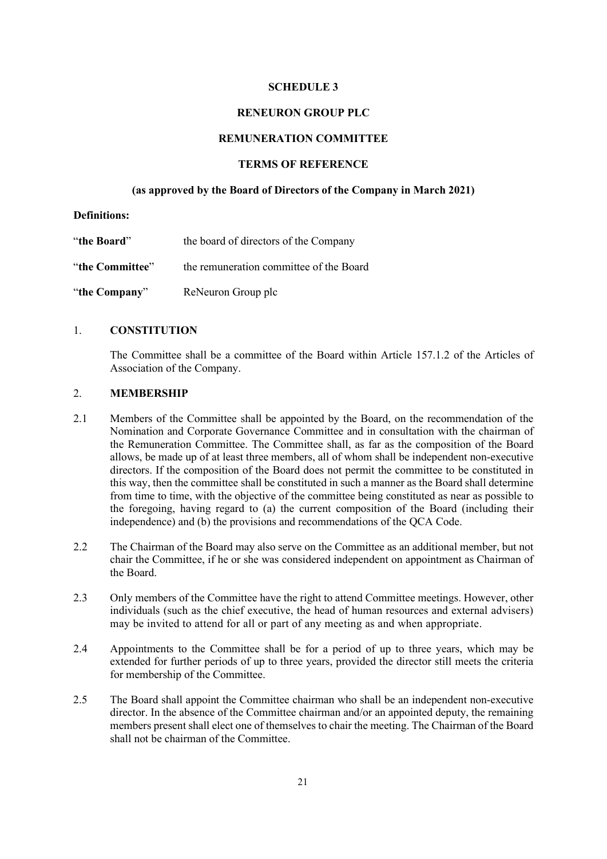#### **SCHEDULE 3**

#### **RENEURON GROUP PLC**

#### **REMUNERATION COMMITTEE**

### **TERMS OF REFERENCE**

#### **(as approved by the Board of Directors of the Company in March 2021)**

#### **Definitions:**

| "the Board"     | the board of directors of the Company   |
|-----------------|-----------------------------------------|
| "the Committee" | the remuneration committee of the Board |
| "the Company"   | ReNeuron Group plc                      |

## 1. **CONSTITUTION**

The Committee shall be a committee of the Board within Article 157.1.2 of the Articles of Association of the Company.

#### 2. **MEMBERSHIP**

- 2.1 Members of the Committee shall be appointed by the Board, on the recommendation of the Nomination and Corporate Governance Committee and in consultation with the chairman of the Remuneration Committee. The Committee shall, as far as the composition of the Board allows, be made up of at least three members, all of whom shall be independent non-executive directors. If the composition of the Board does not permit the committee to be constituted in this way, then the committee shall be constituted in such a manner as the Board shall determine from time to time, with the objective of the committee being constituted as near as possible to the foregoing, having regard to (a) the current composition of the Board (including their independence) and (b) the provisions and recommendations of the QCA Code.
- 2.2 The Chairman of the Board may also serve on the Committee as an additional member, but not chair the Committee, if he or she was considered independent on appointment as Chairman of the Board.
- 2.3 Only members of the Committee have the right to attend Committee meetings. However, other individuals (such as the chief executive, the head of human resources and external advisers) may be invited to attend for all or part of any meeting as and when appropriate.
- 2.4 Appointments to the Committee shall be for a period of up to three years, which may be extended for further periods of up to three years, provided the director still meets the criteria for membership of the Committee.
- 2.5 The Board shall appoint the Committee chairman who shall be an independent non-executive director. In the absence of the Committee chairman and/or an appointed deputy, the remaining members present shall elect one of themselves to chair the meeting. The Chairman of the Board shall not be chairman of the Committee.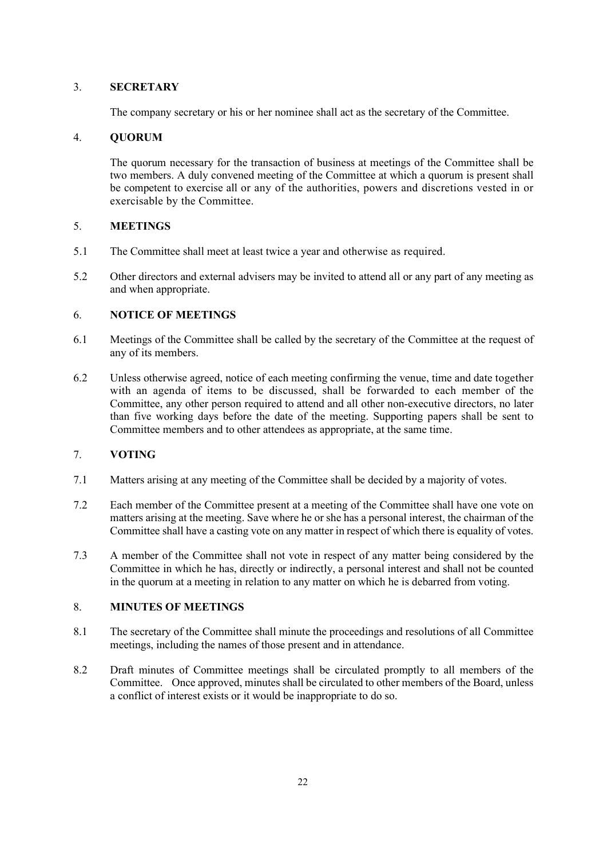## 3. **SECRETARY**

The company secretary or his or her nominee shall act as the secretary of the Committee.

# 4. **QUORUM**

The quorum necessary for the transaction of business at meetings of the Committee shall be two members. A duly convened meeting of the Committee at which a quorum is present shall be competent to exercise all or any of the authorities, powers and discretions vested in or exercisable by the Committee.

# 5. **MEETINGS**

- 5.1 The Committee shall meet at least twice a year and otherwise as required.
- 5.2 Other directors and external advisers may be invited to attend all or any part of any meeting as and when appropriate.

# 6. **NOTICE OF MEETINGS**

- 6.1 Meetings of the Committee shall be called by the secretary of the Committee at the request of any of its members.
- 6.2 Unless otherwise agreed, notice of each meeting confirming the venue, time and date together with an agenda of items to be discussed, shall be forwarded to each member of the Committee, any other person required to attend and all other non-executive directors, no later than five working days before the date of the meeting. Supporting papers shall be sent to Committee members and to other attendees as appropriate, at the same time.

# 7. **VOTING**

- 7.1 Matters arising at any meeting of the Committee shall be decided by a majority of votes.
- 7.2 Each member of the Committee present at a meeting of the Committee shall have one vote on matters arising at the meeting. Save where he or she has a personal interest, the chairman of the Committee shall have a casting vote on any matter in respect of which there is equality of votes.
- 7.3 A member of the Committee shall not vote in respect of any matter being considered by the Committee in which he has, directly or indirectly, a personal interest and shall not be counted in the quorum at a meeting in relation to any matter on which he is debarred from voting.

## 8. **MINUTES OF MEETINGS**

- 8.1 The secretary of the Committee shall minute the proceedings and resolutions of all Committee meetings, including the names of those present and in attendance.
- 8.2 Draft minutes of Committee meetings shall be circulated promptly to all members of the Committee. Once approved, minutes shall be circulated to other members of the Board, unless a conflict of interest exists or it would be inappropriate to do so.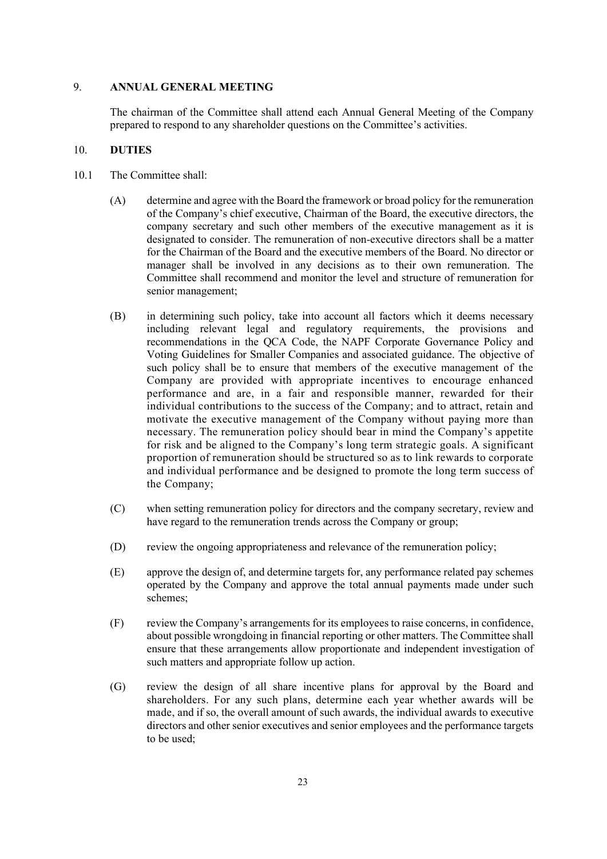# 9. **ANNUAL GENERAL MEETING**

The chairman of the Committee shall attend each Annual General Meeting of the Company prepared to respond to any shareholder questions on the Committee's activities.

#### 10. **DUTIES**

- 10.1 The Committee shall:
	- (A) determine and agree with the Board the framework or broad policy for the remuneration of the Company's chief executive, Chairman of the Board, the executive directors, the company secretary and such other members of the executive management as it is designated to consider. The remuneration of non-executive directors shall be a matter for the Chairman of the Board and the executive members of the Board. No director or manager shall be involved in any decisions as to their own remuneration. The Committee shall recommend and monitor the level and structure of remuneration for senior management;
	- (B) in determining such policy, take into account all factors which it deems necessary including relevant legal and regulatory requirements, the provisions and recommendations in the QCA Code, the NAPF Corporate Governance Policy and Voting Guidelines for Smaller Companies and associated guidance. The objective of such policy shall be to ensure that members of the executive management of the Company are provided with appropriate incentives to encourage enhanced performance and are, in a fair and responsible manner, rewarded for their individual contributions to the success of the Company; and to attract, retain and motivate the executive management of the Company without paying more than necessary. The remuneration policy should bear in mind the Company's appetite for risk and be aligned to the Company's long term strategic goals. A significant proportion of remuneration should be structured so as to link rewards to corporate and individual performance and be designed to promote the long term success of the Company;
	- (C) when setting remuneration policy for directors and the company secretary, review and have regard to the remuneration trends across the Company or group;
	- (D) review the ongoing appropriateness and relevance of the remuneration policy;
	- (E) approve the design of, and determine targets for, any performance related pay schemes operated by the Company and approve the total annual payments made under such schemes;
	- (F) review the Company's arrangements for its employees to raise concerns, in confidence, about possible wrongdoing in financial reporting or other matters. The Committee shall ensure that these arrangements allow proportionate and independent investigation of such matters and appropriate follow up action.
	- (G) review the design of all share incentive plans for approval by the Board and shareholders. For any such plans, determine each year whether awards will be made, and if so, the overall amount of such awards, the individual awards to executive directors and other senior executives and senior employees and the performance targets to be used;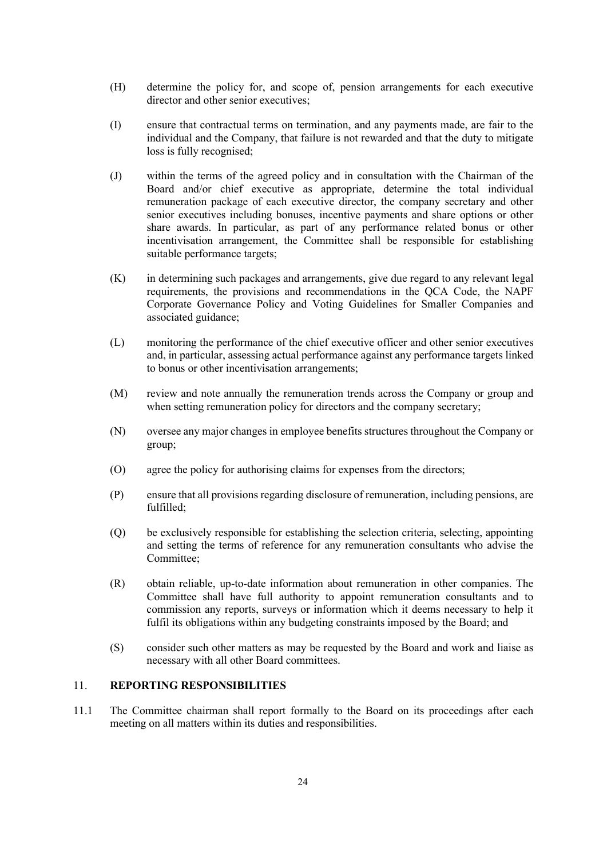- (H) determine the policy for, and scope of, pension arrangements for each executive director and other senior executives;
- (I) ensure that contractual terms on termination, and any payments made, are fair to the individual and the Company, that failure is not rewarded and that the duty to mitigate loss is fully recognised;
- (J) within the terms of the agreed policy and in consultation with the Chairman of the Board and/or chief executive as appropriate, determine the total individual remuneration package of each executive director, the company secretary and other senior executives including bonuses, incentive payments and share options or other share awards. In particular, as part of any performance related bonus or other incentivisation arrangement, the Committee shall be responsible for establishing suitable performance targets;
- (K) in determining such packages and arrangements, give due regard to any relevant legal requirements, the provisions and recommendations in the QCA Code, the NAPF Corporate Governance Policy and Voting Guidelines for Smaller Companies and associated guidance;
- (L) monitoring the performance of the chief executive officer and other senior executives and, in particular, assessing actual performance against any performance targets linked to bonus or other incentivisation arrangements;
- (M) review and note annually the remuneration trends across the Company or group and when setting remuneration policy for directors and the company secretary;
- (N) oversee any major changes in employee benefits structures throughout the Company or group;
- (O) agree the policy for authorising claims for expenses from the directors;
- (P) ensure that all provisions regarding disclosure of remuneration, including pensions, are fulfilled;
- (Q) be exclusively responsible for establishing the selection criteria, selecting, appointing and setting the terms of reference for any remuneration consultants who advise the Committee;
- (R) obtain reliable, up-to-date information about remuneration in other companies. The Committee shall have full authority to appoint remuneration consultants and to commission any reports, surveys or information which it deems necessary to help it fulfil its obligations within any budgeting constraints imposed by the Board; and
- (S) consider such other matters as may be requested by the Board and work and liaise as necessary with all other Board committees.

# 11. **REPORTING RESPONSIBILITIES**

11.1 The Committee chairman shall report formally to the Board on its proceedings after each meeting on all matters within its duties and responsibilities.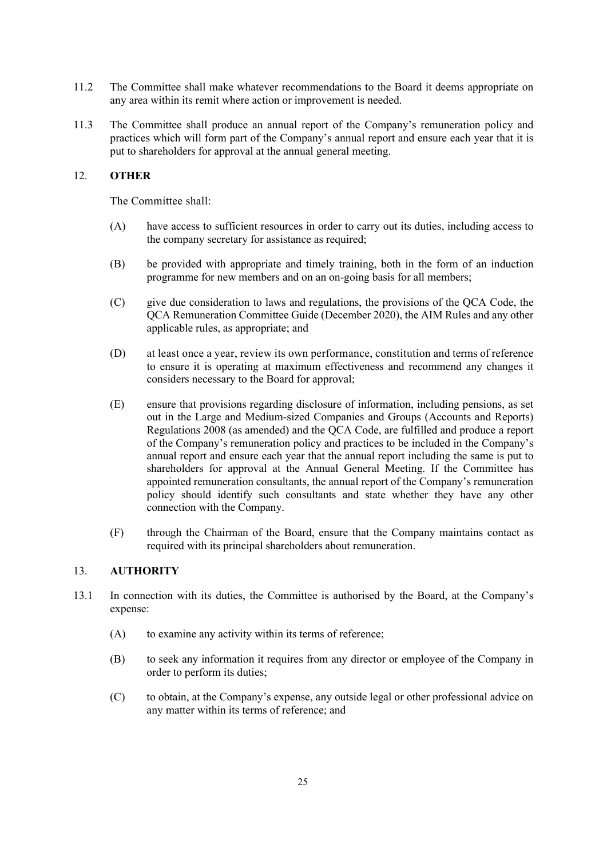- 11.2 The Committee shall make whatever recommendations to the Board it deems appropriate on any area within its remit where action or improvement is needed.
- 11.3 The Committee shall produce an annual report of the Company's remuneration policy and practices which will form part of the Company's annual report and ensure each year that it is put to shareholders for approval at the annual general meeting.

## 12. **OTHER**

The Committee shall:

- (A) have access to sufficient resources in order to carry out its duties, including access to the company secretary for assistance as required;
- (B) be provided with appropriate and timely training, both in the form of an induction programme for new members and on an on-going basis for all members;
- (C) give due consideration to laws and regulations, the provisions of the QCA Code, the QCA Remuneration Committee Guide (December 2020), the AIM Rules and any other applicable rules, as appropriate; and
- (D) at least once a year, review its own performance, constitution and terms of reference to ensure it is operating at maximum effectiveness and recommend any changes it considers necessary to the Board for approval;
- (E) ensure that provisions regarding disclosure of information, including pensions, as set out in the Large and Medium-sized Companies and Groups (Accounts and Reports) Regulations 2008 (as amended) and the QCA Code, are fulfilled and produce a report of the Company's remuneration policy and practices to be included in the Company's annual report and ensure each year that the annual report including the same is put to shareholders for approval at the Annual General Meeting. If the Committee has appointed remuneration consultants, the annual report of the Company's remuneration policy should identify such consultants and state whether they have any other connection with the Company.
- (F) through the Chairman of the Board, ensure that the Company maintains contact as required with its principal shareholders about remuneration.

# 13. **AUTHORITY**

- 13.1 In connection with its duties, the Committee is authorised by the Board, at the Company's expense:
	- (A) to examine any activity within its terms of reference;
	- (B) to seek any information it requires from any director or employee of the Company in order to perform its duties;
	- (C) to obtain, at the Company's expense, any outside legal or other professional advice on any matter within its terms of reference; and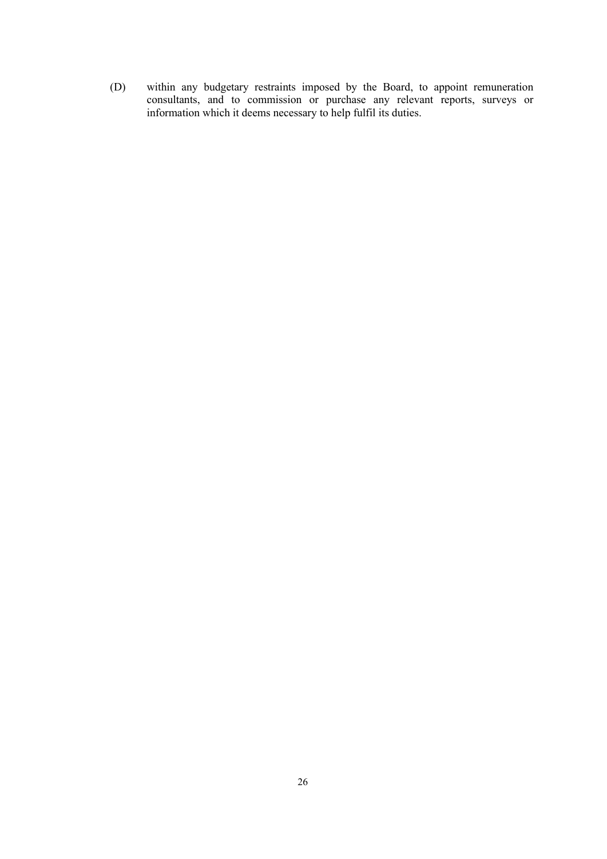(D) within any budgetary restraints imposed by the Board, to appoint remuneration consultants, and to commission or purchase any relevant reports, surveys or information which it deems necessary to help fulfil its duties.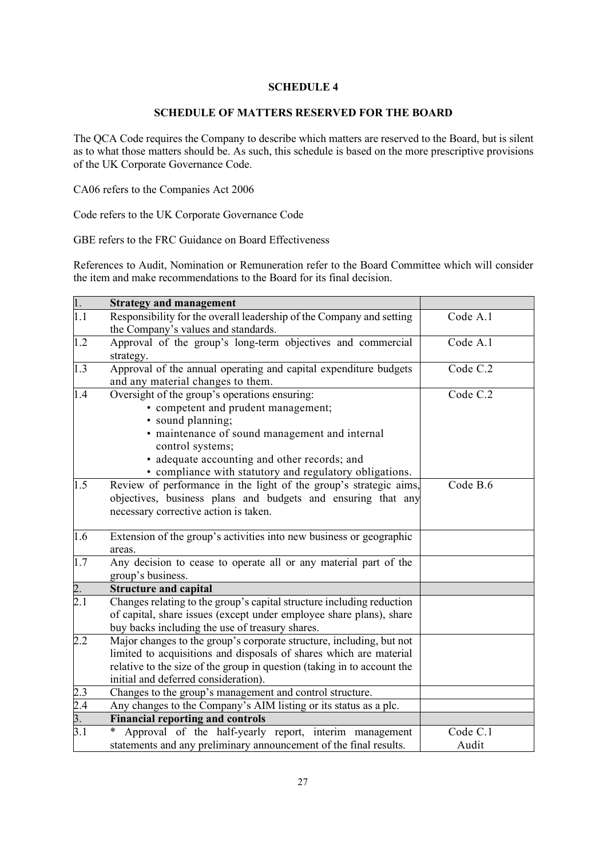# **SCHEDULE 4**

### **SCHEDULE OF MATTERS RESERVED FOR THE BOARD**

The QCA Code requires the Company to describe which matters are reserved to the Board, but is silent as to what those matters should be. As such, this schedule is based on the more prescriptive provisions of the UK Corporate Governance Code.

CA06 refers to the Companies Act 2006

Code refers to the UK Corporate Governance Code

GBE refers to the FRC Guidance on Board Effectiveness

References to Audit, Nomination or Remuneration refer to the Board Committee which will consider the item and make recommendations to the Board for its final decision.

| $\overline{1}$ .                       | <b>Strategy and management</b>                                                                                                                                                                                                                                                             |                   |
|----------------------------------------|--------------------------------------------------------------------------------------------------------------------------------------------------------------------------------------------------------------------------------------------------------------------------------------------|-------------------|
| 1.1                                    | Responsibility for the overall leadership of the Company and setting<br>the Company's values and standards.                                                                                                                                                                                | Code A.1          |
| 1.2                                    | Approval of the group's long-term objectives and commercial<br>strategy.                                                                                                                                                                                                                   | Code A.1          |
| 1.3                                    | Approval of the annual operating and capital expenditure budgets<br>and any material changes to them.                                                                                                                                                                                      | Code C.2          |
| 1.4                                    | Oversight of the group's operations ensuring:<br>• competent and prudent management;<br>· sound planning;<br>· maintenance of sound management and internal<br>control systems;<br>• adequate accounting and other records; and<br>• compliance with statutory and regulatory obligations. | Code C.2          |
| 1.5                                    | Review of performance in the light of the group's strategic aims,<br>objectives, business plans and budgets and ensuring that any<br>necessary corrective action is taken.                                                                                                                 | Code B.6          |
| 1.6                                    | Extension of the group's activities into new business or geographic<br>areas.                                                                                                                                                                                                              |                   |
| 1.7                                    | Any decision to cease to operate all or any material part of the<br>group's business.                                                                                                                                                                                                      |                   |
| 2.                                     | <b>Structure and capital</b>                                                                                                                                                                                                                                                               |                   |
| $\overline{2.1}$                       | Changes relating to the group's capital structure including reduction<br>of capital, share issues (except under employee share plans), share<br>buy backs including the use of treasury shares.                                                                                            |                   |
| 2.2                                    | Major changes to the group's corporate structure, including, but not<br>limited to acquisitions and disposals of shares which are material<br>relative to the size of the group in question (taking in to account the<br>initial and deferred consideration).                              |                   |
|                                        | Changes to the group's management and control structure.                                                                                                                                                                                                                                   |                   |
| $\frac{2.3}{2.4}$<br>$\frac{3.4}{3.1}$ | Any changes to the Company's AIM listing or its status as a plc.                                                                                                                                                                                                                           |                   |
|                                        | <b>Financial reporting and controls</b>                                                                                                                                                                                                                                                    |                   |
| $\overline{3.1}$                       | Approval of the half-yearly report, interim management<br>$\ast$<br>statements and any preliminary announcement of the final results.                                                                                                                                                      | Code C.1<br>Audit |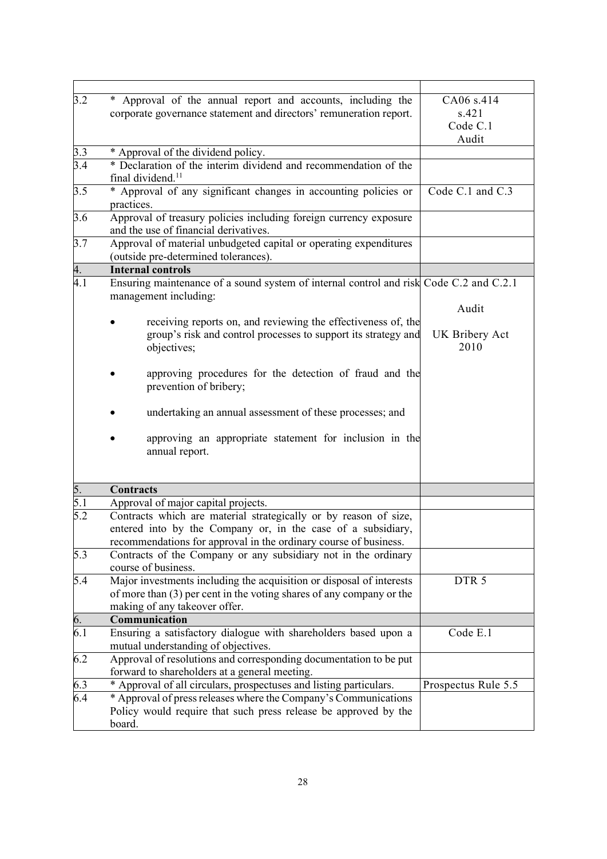| 3.2              | * Approval of the annual report and accounts, including the<br>corporate governance statement and directors' remuneration report.                                                                    | CA06 s.414<br>s.421<br>Code C.1<br>Audit |
|------------------|------------------------------------------------------------------------------------------------------------------------------------------------------------------------------------------------------|------------------------------------------|
| 3.3<br>3.4       | * Approval of the dividend policy.<br>* Declaration of the interim dividend and recommendation of the<br>final dividend. <sup>11</sup>                                                               |                                          |
| 3.5              | * Approval of any significant changes in accounting policies or<br>practices.                                                                                                                        | Code C.1 and C.3                         |
| 3.6              | Approval of treasury policies including foreign currency exposure<br>and the use of financial derivatives.                                                                                           |                                          |
| 3.7              | Approval of material unbudgeted capital or operating expenditures<br>(outside pre-determined tolerances).                                                                                            |                                          |
| 4.               | <b>Internal controls</b>                                                                                                                                                                             |                                          |
| 4.1              | Ensuring maintenance of a sound system of internal control and risk Code C.2 and C.2.1<br>management including:                                                                                      |                                          |
|                  | receiving reports on, and reviewing the effectiveness of, the                                                                                                                                        | Audit                                    |
|                  | group's risk and control processes to support its strategy and<br>objectives;                                                                                                                        | UK Bribery Act<br>2010                   |
|                  | approving procedures for the detection of fraud and the<br>prevention of bribery;                                                                                                                    |                                          |
|                  | undertaking an annual assessment of these processes; and                                                                                                                                             |                                          |
|                  | approving an appropriate statement for inclusion in the<br>annual report.                                                                                                                            |                                          |
| 5.               | <b>Contracts</b>                                                                                                                                                                                     |                                          |
| 5.1              | Approval of major capital projects.                                                                                                                                                                  |                                          |
| 5.2              | Contracts which are material strategically or by reason of size,<br>entered into by the Company or, in the case of a subsidiary,<br>recommendations for approval in the ordinary course of business. |                                          |
| 5.3              | Contracts of the Company or any subsidiary not in the ordinary<br>course of business.                                                                                                                |                                          |
| 5.4              | Major investments including the acquisition or disposal of interests<br>of more than $(3)$ per cent in the voting shares of any company or the<br>making of any takeover offer.                      | DTR <sub>5</sub>                         |
| 6.               | Communication                                                                                                                                                                                        |                                          |
| $\overline{6.1}$ | Ensuring a satisfactory dialogue with shareholders based upon a<br>mutual understanding of objectives.                                                                                               | Code E.1                                 |
| 6.2              | Approval of resolutions and corresponding documentation to be put<br>forward to shareholders at a general meeting.                                                                                   |                                          |
| 6.3              | * Approval of all circulars, prospectuses and listing particulars.                                                                                                                                   | Prospectus Rule 5.5                      |
| $\overline{6.4}$ | * Approval of press releases where the Company's Communications<br>Policy would require that such press release be approved by the<br>board.                                                         |                                          |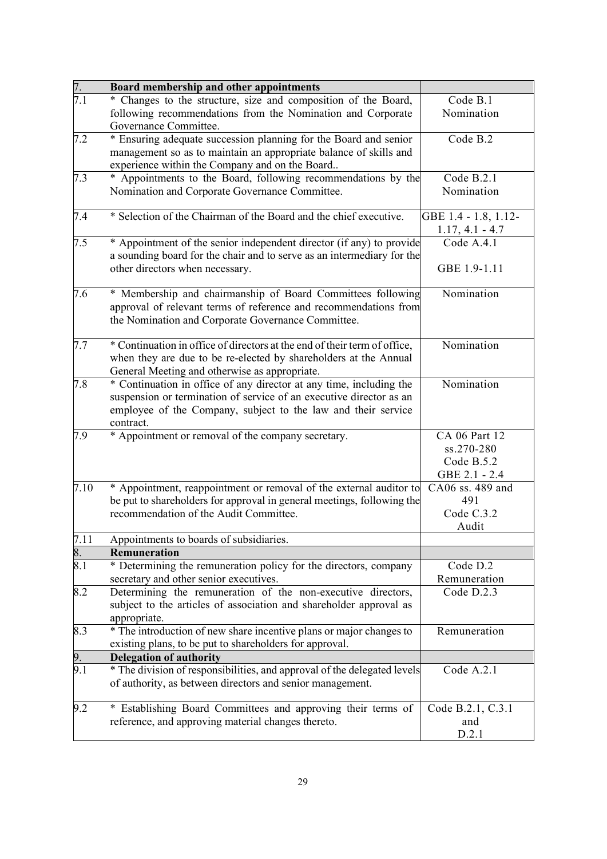| 7.               | Board membership and other appointments                                                                                                                                                                                  |                                                            |
|------------------|--------------------------------------------------------------------------------------------------------------------------------------------------------------------------------------------------------------------------|------------------------------------------------------------|
| $\overline{7.1}$ | * Changes to the structure, size and composition of the Board,<br>following recommendations from the Nomination and Corporate                                                                                            | Code B.1<br>Nomination                                     |
| 7.2              | Governance Committee.<br>* Ensuring adequate succession planning for the Board and senior<br>management so as to maintain an appropriate balance of skills and<br>experience within the Company and on the Board         | Code B.2                                                   |
| 7.3              | * Appointments to the Board, following recommendations by the<br>Nomination and Corporate Governance Committee.                                                                                                          | Code B.2.1<br>Nomination                                   |
| 7.4              | * Selection of the Chairman of the Board and the chief executive.                                                                                                                                                        | GBE 1.4 - 1.8, 1.12-<br>$1.17, 4.1 - 4.7$                  |
| 7.5              | * Appointment of the senior independent director (if any) to provide<br>a sounding board for the chair and to serve as an intermediary for the<br>other directors when necessary.                                        | Code A.4.1<br>GBE 1.9-1.11                                 |
| 7.6              | * Membership and chairmanship of Board Committees following<br>approval of relevant terms of reference and recommendations from<br>the Nomination and Corporate Governance Committee.                                    | Nomination                                                 |
| 7.7              | * Continuation in office of directors at the end of their term of office,<br>when they are due to be re-elected by shareholders at the Annual<br>General Meeting and otherwise as appropriate.                           | Nomination                                                 |
| 7.8              | * Continuation in office of any director at any time, including the<br>suspension or termination of service of an executive director as an<br>employee of the Company, subject to the law and their service<br>contract. | Nomination                                                 |
| 7.9              | * Appointment or removal of the company secretary.                                                                                                                                                                       | CA 06 Part 12<br>ss.270-280<br>Code B.5.2<br>GBE 2.1 - 2.4 |
| 7.10             | * Appointment, reappointment or removal of the external auditor to<br>be put to shareholders for approval in general meetings, following the<br>recommendation of the Audit Committee.                                   | CA06 ss. 489 and<br>491<br>Code C.3.2<br>Audit             |
| 7.11             | Appointments to boards of subsidiaries.                                                                                                                                                                                  |                                                            |
| 8.               | <b>Remuneration</b>                                                                                                                                                                                                      |                                                            |
| 8.1              | * Determining the remuneration policy for the directors, company<br>secretary and other senior executives.                                                                                                               | Code D.2<br>Remuneration                                   |
| 8.2              | Determining the remuneration of the non-executive directors,<br>subject to the articles of association and shareholder approval as<br>appropriate.                                                                       | Code D.2.3                                                 |
| 8.3              | * The introduction of new share incentive plans or major changes to<br>existing plans, to be put to shareholders for approval.                                                                                           | Remuneration                                               |
| 9.               | <b>Delegation of authority</b>                                                                                                                                                                                           |                                                            |
| 9.1              | * The division of responsibilities, and approval of the delegated levels<br>of authority, as between directors and senior management.                                                                                    | Code A.2.1                                                 |
| 9.2              | * Establishing Board Committees and approving their terms of<br>reference, and approving material changes thereto.                                                                                                       | Code B.2.1, C.3.1<br>and<br>D.2.1                          |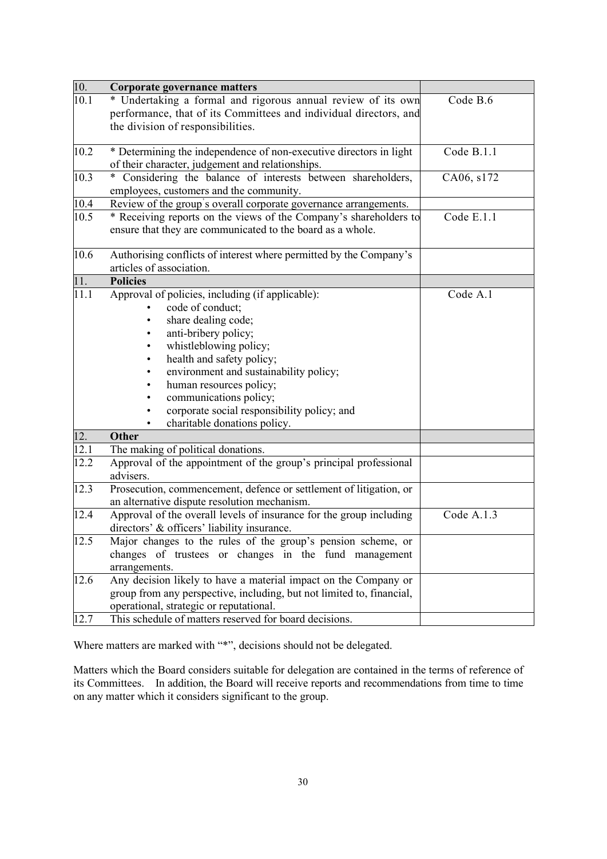| 10.  | <b>Corporate governance matters</b>                                   |            |
|------|-----------------------------------------------------------------------|------------|
| 10.1 | * Undertaking a formal and rigorous annual review of its own          | Code B.6   |
|      | performance, that of its Committees and individual directors, and     |            |
|      | the division of responsibilities.                                     |            |
|      |                                                                       |            |
| 10.2 | * Determining the independence of non-executive directors in light    | Code B.1.1 |
|      | of their character, judgement and relationships.                      |            |
| 10.3 | * Considering the balance of interests between shareholders,          | CA06, s172 |
|      | employees, customers and the community.                               |            |
| 10.4 | Review of the group's overall corporate governance arrangements.      |            |
| 10.5 | * Receiving reports on the views of the Company's shareholders to     | Code E.1.1 |
|      | ensure that they are communicated to the board as a whole.            |            |
|      |                                                                       |            |
| 10.6 | Authorising conflicts of interest where permitted by the Company's    |            |
|      | articles of association.                                              |            |
| 11.  | <b>Policies</b>                                                       |            |
| 11.1 | Approval of policies, including (if applicable):                      | Code A.1   |
|      | code of conduct;                                                      |            |
|      | share dealing code;                                                   |            |
|      | anti-bribery policy;                                                  |            |
|      | whistleblowing policy;                                                |            |
|      | health and safety policy;                                             |            |
|      | environment and sustainability policy;                                |            |
|      | human resources policy;                                               |            |
|      | communications policy;                                                |            |
|      | corporate social responsibility policy; and                           |            |
|      | charitable donations policy.                                          |            |
| 12.  | Other                                                                 |            |
| 12.1 | The making of political donations.                                    |            |
| 12.2 | Approval of the appointment of the group's principal professional     |            |
|      | advisers.                                                             |            |
| 12.3 | Prosecution, commencement, defence or settlement of litigation, or    |            |
|      | an alternative dispute resolution mechanism.                          |            |
| 12.4 | Approval of the overall levels of insurance for the group including   | Code A.1.3 |
|      | directors' & officers' liability insurance.                           |            |
| 12.5 | Major changes to the rules of the group's pension scheme, or          |            |
|      | changes of trustees or changes in the fund management                 |            |
|      | arrangements.                                                         |            |
| 12.6 | Any decision likely to have a material impact on the Company or       |            |
|      | group from any perspective, including, but not limited to, financial, |            |
|      | operational, strategic or reputational.                               |            |
| 12.7 | This schedule of matters reserved for board decisions.                |            |

Where matters are marked with "\*", decisions should not be delegated.

Matters which the Board considers suitable for delegation are contained in the terms of reference of its Committees. In addition, the Board will receive reports and recommendations from time to time on any matter which it considers significant to the group.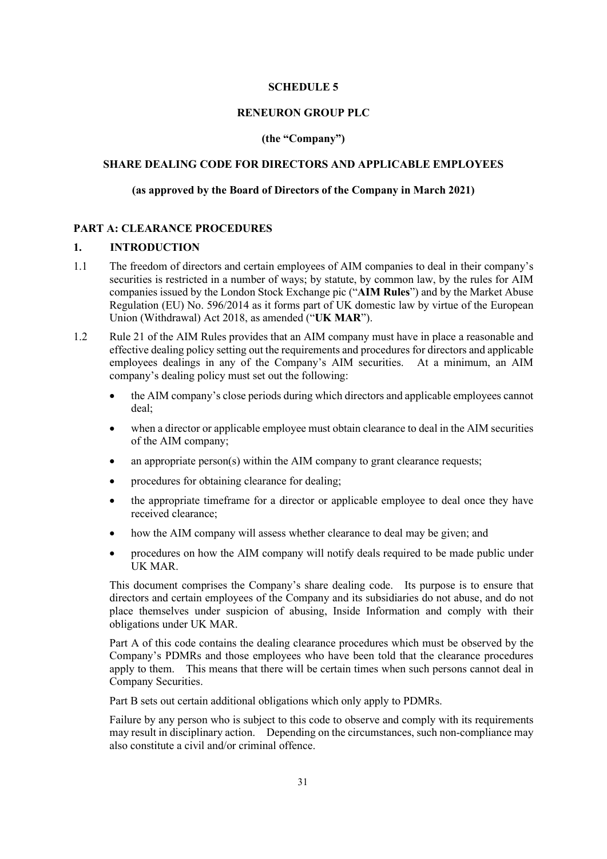#### **SCHEDULE 5**

#### **RENEURON GROUP PLC**

#### **(the "Company")**

# **SHARE DEALING CODE FOR DIRECTORS AND APPLICABLE EMPLOYEES**

### **(as approved by the Board of Directors of the Company in March 2021)**

## **PART A: CLEARANCE PROCEDURES**

## **1. INTRODUCTION**

- 1.1 The freedom of directors and certain employees of AIM companies to deal in their company's securities is restricted in a number of ways; by statute, by common law, by the rules for AIM companies issued by the London Stock Exchange pic ("**AIM Rules**") and by the Market Abuse Regulation (EU) No. 596/2014 as it forms part of UK domestic law by virtue of the European Union (Withdrawal) Act 2018, as amended ("**UK MAR**").
- 1.2 Rule 21 of the AIM Rules provides that an AIM company must have in place a reasonable and effective dealing policy setting out the requirements and procedures for directors and applicable employees dealings in any of the Company's AIM securities. At a minimum, an AIM company's dealing policy must set out the following:
	- the AIM company's close periods during which directors and applicable employees cannot deal;
	- when a director or applicable employee must obtain clearance to deal in the AIM securities of the AIM company;
	- an appropriate  $person(s)$  within the AIM company to grant clearance requests;
	- procedures for obtaining clearance for dealing;
	- the appropriate timeframe for a director or applicable employee to deal once they have received clearance;
	- how the AIM company will assess whether clearance to deal may be given; and
	- procedures on how the AIM company will notify deals required to be made public under UK MAR.

This document comprises the Company's share dealing code. Its purpose is to ensure that directors and certain employees of the Company and its subsidiaries do not abuse, and do not place themselves under suspicion of abusing, Inside Information and comply with their obligations under UK MAR.

Part A of this code contains the dealing clearance procedures which must be observed by the Company's PDMRs and those employees who have been told that the clearance procedures apply to them. This means that there will be certain times when such persons cannot deal in Company Securities.

Part B sets out certain additional obligations which only apply to PDMRs.

Failure by any person who is subject to this code to observe and comply with its requirements may result in disciplinary action. Depending on the circumstances, such non-compliance may also constitute a civil and/or criminal offence.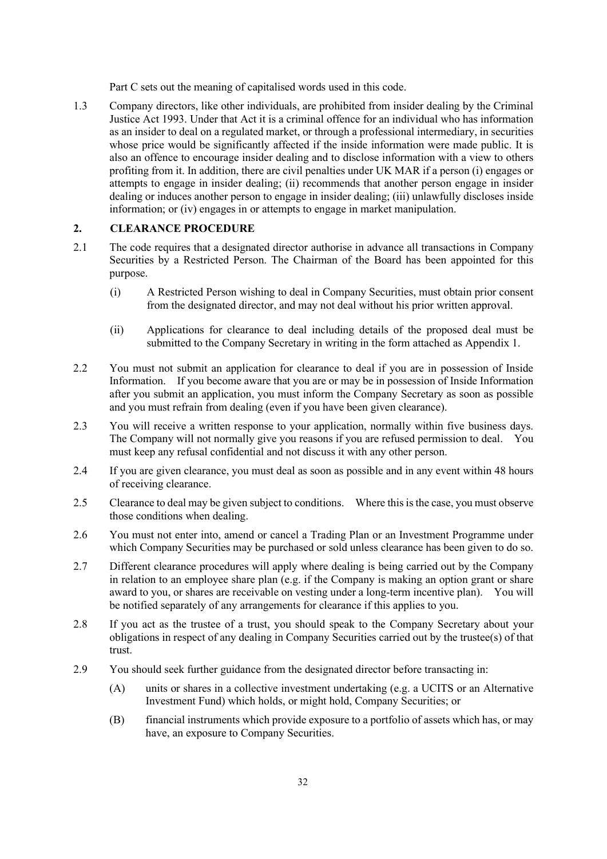Part C sets out the meaning of capitalised words used in this code.

1.3 Company directors, like other individuals, are prohibited from insider dealing by the Criminal Justice Act 1993. Under that Act it is a criminal offence for an individual who has information as an insider to deal on a regulated market, or through a professional intermediary, in securities whose price would be significantly affected if the inside information were made public. It is also an offence to encourage insider dealing and to disclose information with a view to others profiting from it. In addition, there are civil penalties under UK MAR if a person (i) engages or attempts to engage in insider dealing; (ii) recommends that another person engage in insider dealing or induces another person to engage in insider dealing; (iii) unlawfully discloses inside information; or (iv) engages in or attempts to engage in market manipulation.

#### **2. CLEARANCE PROCEDURE**

- 2.1 The code requires that a designated director authorise in advance all transactions in Company Securities by a Restricted Person. The Chairman of the Board has been appointed for this purpose.
	- (i) A Restricted Person wishing to deal in Company Securities, must obtain prior consent from the designated director, and may not deal without his prior written approval.
	- (ii) Applications for clearance to deal including details of the proposed deal must be submitted to the Company Secretary in writing in the form attached as Appendix 1.
- 2.2 You must not submit an application for clearance to deal if you are in possession of Inside Information. If you become aware that you are or may be in possession of Inside Information after you submit an application, you must inform the Company Secretary as soon as possible and you must refrain from dealing (even if you have been given clearance).
- 2.3 You will receive a written response to your application, normally within five business days. The Company will not normally give you reasons if you are refused permission to deal. You must keep any refusal confidential and not discuss it with any other person.
- 2.4 If you are given clearance, you must deal as soon as possible and in any event within 48 hours of receiving clearance.
- 2.5 Clearance to deal may be given subject to conditions. Where this is the case, you must observe those conditions when dealing.
- 2.6 You must not enter into, amend or cancel a Trading Plan or an Investment Programme under which Company Securities may be purchased or sold unless clearance has been given to do so.
- 2.7 Different clearance procedures will apply where dealing is being carried out by the Company in relation to an employee share plan (e.g. if the Company is making an option grant or share award to you, or shares are receivable on vesting under a long-term incentive plan). You will be notified separately of any arrangements for clearance if this applies to you.
- 2.8 If you act as the trustee of a trust, you should speak to the Company Secretary about your obligations in respect of any dealing in Company Securities carried out by the trustee(s) of that trust.
- 2.9 You should seek further guidance from the designated director before transacting in:
	- (A) units or shares in a collective investment undertaking (e.g. a UCITS or an Alternative Investment Fund) which holds, or might hold, Company Securities; or
	- (B) financial instruments which provide exposure to a portfolio of assets which has, or may have, an exposure to Company Securities.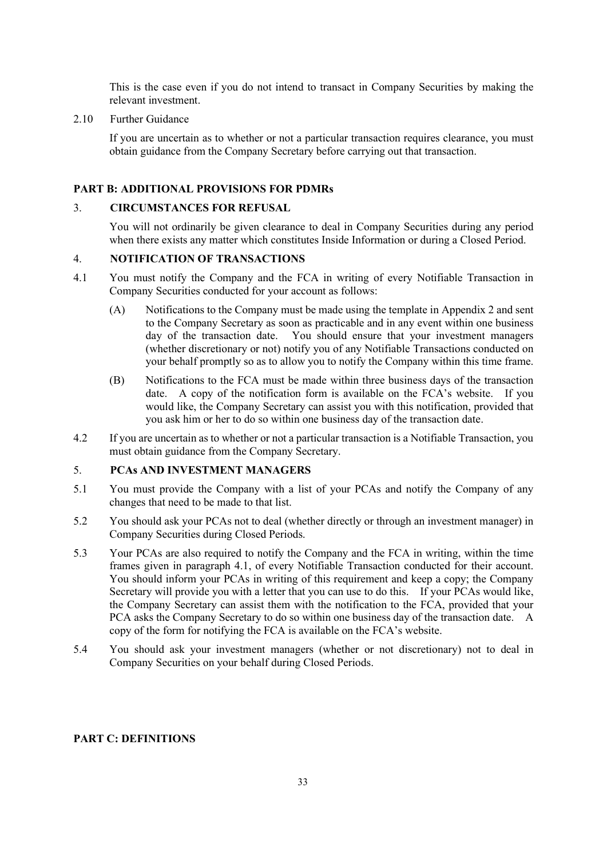This is the case even if you do not intend to transact in Company Securities by making the relevant investment.

2.10 Further Guidance

If you are uncertain as to whether or not a particular transaction requires clearance, you must obtain guidance from the Company Secretary before carrying out that transaction.

#### **PART B: ADDITIONAL PROVISIONS FOR PDMRs**

#### 3. **CIRCUMSTANCES FOR REFUSAL**

You will not ordinarily be given clearance to deal in Company Securities during any period when there exists any matter which constitutes Inside Information or during a Closed Period.

## 4. **NOTIFICATION OF TRANSACTIONS**

- 4.1 You must notify the Company and the FCA in writing of every Notifiable Transaction in Company Securities conducted for your account as follows:
	- (A) Notifications to the Company must be made using the template in Appendix 2 and sent to the Company Secretary as soon as practicable and in any event within one business day of the transaction date. You should ensure that your investment managers (whether discretionary or not) notify you of any Notifiable Transactions conducted on your behalf promptly so as to allow you to notify the Company within this time frame.
	- (B) Notifications to the FCA must be made within three business days of the transaction date. A copy of the notification form is available on the FCA's website. If you would like, the Company Secretary can assist you with this notification, provided that you ask him or her to do so within one business day of the transaction date.
- 4.2 If you are uncertain as to whether or not a particular transaction is a Notifiable Transaction, you must obtain guidance from the Company Secretary.

## 5. **PCAs AND INVESTMENT MANAGERS**

- 5.1 You must provide the Company with a list of your PCAs and notify the Company of any changes that need to be made to that list.
- 5.2 You should ask your PCAs not to deal (whether directly or through an investment manager) in Company Securities during Closed Periods.
- 5.3 Your PCAs are also required to notify the Company and the FCA in writing, within the time frames given in paragraph 4.1, of every Notifiable Transaction conducted for their account. You should inform your PCAs in writing of this requirement and keep a copy; the Company Secretary will provide you with a letter that you can use to do this. If your PCAs would like, the Company Secretary can assist them with the notification to the FCA, provided that your PCA asks the Company Secretary to do so within one business day of the transaction date. A copy of the form for notifying the FCA is available on the FCA's website.
- 5.4 You should ask your investment managers (whether or not discretionary) not to deal in Company Securities on your behalf during Closed Periods.

#### **PART C: DEFINITIONS**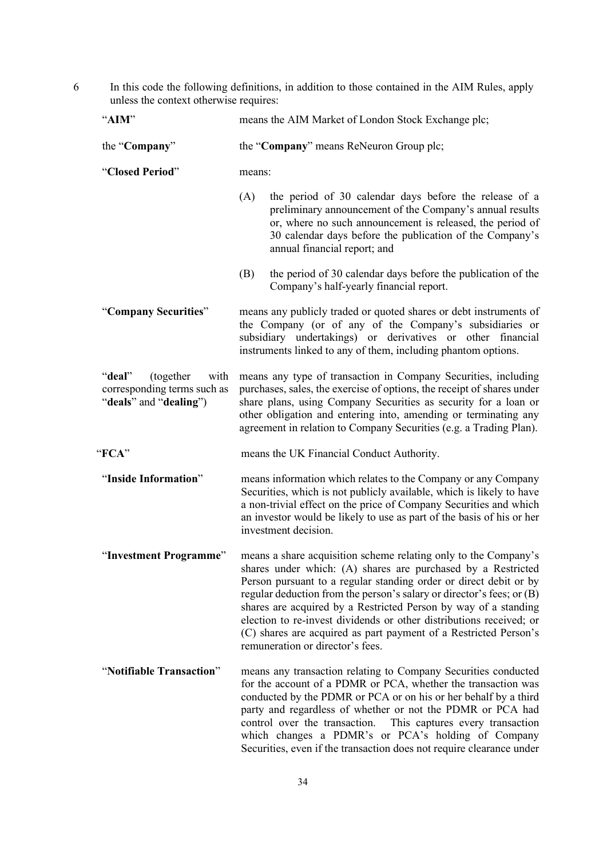6 In this code the following definitions, in addition to those contained in the AIM Rules, apply unless the context otherwise requires:

| "AIM"                                                                                | means the AIM Market of London Stock Exchange plc;                                                                                                                                                                                                                                                                                                                                                                                                                                                                              |                                                                                                                                                                                                                                                                                                                                                                                                                                                                 |  |
|--------------------------------------------------------------------------------------|---------------------------------------------------------------------------------------------------------------------------------------------------------------------------------------------------------------------------------------------------------------------------------------------------------------------------------------------------------------------------------------------------------------------------------------------------------------------------------------------------------------------------------|-----------------------------------------------------------------------------------------------------------------------------------------------------------------------------------------------------------------------------------------------------------------------------------------------------------------------------------------------------------------------------------------------------------------------------------------------------------------|--|
| the "Company"                                                                        | the "Company" means ReNeuron Group plc;                                                                                                                                                                                                                                                                                                                                                                                                                                                                                         |                                                                                                                                                                                                                                                                                                                                                                                                                                                                 |  |
| "Closed Period"                                                                      | means:                                                                                                                                                                                                                                                                                                                                                                                                                                                                                                                          |                                                                                                                                                                                                                                                                                                                                                                                                                                                                 |  |
|                                                                                      | (A)                                                                                                                                                                                                                                                                                                                                                                                                                                                                                                                             | the period of 30 calendar days before the release of a<br>preliminary announcement of the Company's annual results<br>or, where no such announcement is released, the period of<br>30 calendar days before the publication of the Company's<br>annual financial report; and                                                                                                                                                                                     |  |
|                                                                                      | (B)                                                                                                                                                                                                                                                                                                                                                                                                                                                                                                                             | the period of 30 calendar days before the publication of the<br>Company's half-yearly financial report.                                                                                                                                                                                                                                                                                                                                                         |  |
| "Company Securities"                                                                 |                                                                                                                                                                                                                                                                                                                                                                                                                                                                                                                                 | means any publicly traded or quoted shares or debt instruments of<br>the Company (or of any of the Company's subsidiaries or<br>subsidiary undertakings) or derivatives or other financial<br>instruments linked to any of them, including phantom options.                                                                                                                                                                                                     |  |
| "deal"<br>(together<br>with<br>corresponding terms such as<br>"deals" and "dealing") | means any type of transaction in Company Securities, including<br>purchases, sales, the exercise of options, the receipt of shares under<br>share plans, using Company Securities as security for a loan or<br>other obligation and entering into, amending or terminating any<br>agreement in relation to Company Securities (e.g. a Trading Plan).                                                                                                                                                                            |                                                                                                                                                                                                                                                                                                                                                                                                                                                                 |  |
| "FCA"                                                                                | means the UK Financial Conduct Authority.                                                                                                                                                                                                                                                                                                                                                                                                                                                                                       |                                                                                                                                                                                                                                                                                                                                                                                                                                                                 |  |
| "Inside Information"                                                                 | means information which relates to the Company or any Company<br>Securities, which is not publicly available, which is likely to have<br>a non-trivial effect on the price of Company Securities and which<br>an investor would be likely to use as part of the basis of his or her<br>investment decision.                                                                                                                                                                                                                     |                                                                                                                                                                                                                                                                                                                                                                                                                                                                 |  |
| "Investment Programme"                                                               | means a share acquisition scheme relating only to the Company's<br>shares under which: (A) shares are purchased by a Restricted<br>Person pursuant to a regular standing order or direct debit or by<br>regular deduction from the person's salary or director's fees; or (B)<br>shares are acquired by a Restricted Person by way of a standing<br>election to re-invest dividends or other distributions received; or<br>(C) shares are acquired as part payment of a Restricted Person's<br>remuneration or director's fees. |                                                                                                                                                                                                                                                                                                                                                                                                                                                                 |  |
| "Notifiable Transaction"                                                             |                                                                                                                                                                                                                                                                                                                                                                                                                                                                                                                                 | means any transaction relating to Company Securities conducted<br>for the account of a PDMR or PCA, whether the transaction was<br>conducted by the PDMR or PCA or on his or her behalf by a third<br>party and regardless of whether or not the PDMR or PCA had<br>control over the transaction. This captures every transaction<br>which changes a PDMR's or PCA's holding of Company<br>Securities, even if the transaction does not require clearance under |  |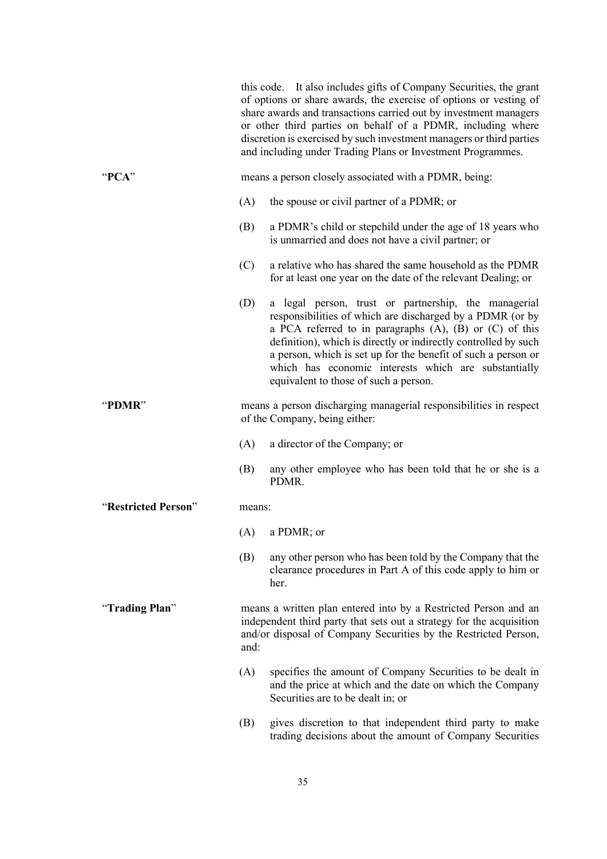|                     |        | this code. It also includes gifts of Company Securities, the grant<br>of options or share awards, the exercise of options or vesting of<br>share awards and transactions carried out by investment managers<br>or other third parties on behalf of a PDMR, including where<br>discretion is exercised by such investment managers or third parties<br>and including under Trading Plans or Investment Programmes.        |
|---------------------|--------|--------------------------------------------------------------------------------------------------------------------------------------------------------------------------------------------------------------------------------------------------------------------------------------------------------------------------------------------------------------------------------------------------------------------------|
| " $PCA"$            |        | means a person closely associated with a PDMR, being:                                                                                                                                                                                                                                                                                                                                                                    |
|                     | (A)    | the spouse or civil partner of a PDMR; or                                                                                                                                                                                                                                                                                                                                                                                |
|                     | (B)    | a PDMR's child or stepchild under the age of 18 years who<br>is unmarried and does not have a civil partner; or                                                                                                                                                                                                                                                                                                          |
|                     | (C)    | a relative who has shared the same household as the PDMR<br>for at least one year on the date of the relevant Dealing; or                                                                                                                                                                                                                                                                                                |
|                     | (D)    | a legal person, trust or partnership, the managerial<br>responsibilities of which are discharged by a PDMR (or by<br>a PCA referred to in paragraphs $(A)$ , $(B)$ or $(C)$ of this<br>definition), which is directly or indirectly controlled by such<br>a person, which is set up for the benefit of such a person or<br>which has economic interests which are substantially<br>equivalent to those of such a person. |
| "PDMR"              |        | means a person discharging managerial responsibilities in respect<br>of the Company, being either:                                                                                                                                                                                                                                                                                                                       |
|                     | (A)    | a director of the Company; or                                                                                                                                                                                                                                                                                                                                                                                            |
|                     | (B)    | any other employee who has been told that he or she is a<br>PDMR.                                                                                                                                                                                                                                                                                                                                                        |
| "Restricted Person" | means: |                                                                                                                                                                                                                                                                                                                                                                                                                          |
|                     | (A)    | a PDMR; or                                                                                                                                                                                                                                                                                                                                                                                                               |
|                     | (B)    | any other person who has been told by the Company that the<br>clearance procedures in Part A of this code apply to him or<br>her.                                                                                                                                                                                                                                                                                        |
| "Trading Plan"      | and:   | means a written plan entered into by a Restricted Person and an<br>independent third party that sets out a strategy for the acquisition<br>and/or disposal of Company Securities by the Restricted Person,                                                                                                                                                                                                               |
|                     | (A)    | specifies the amount of Company Securities to be dealt in<br>and the price at which and the date on which the Company<br>Securities are to be dealt in; or                                                                                                                                                                                                                                                               |
|                     | (B)    | gives discretion to that independent third party to make<br>trading decisions about the amount of Company Securities                                                                                                                                                                                                                                                                                                     |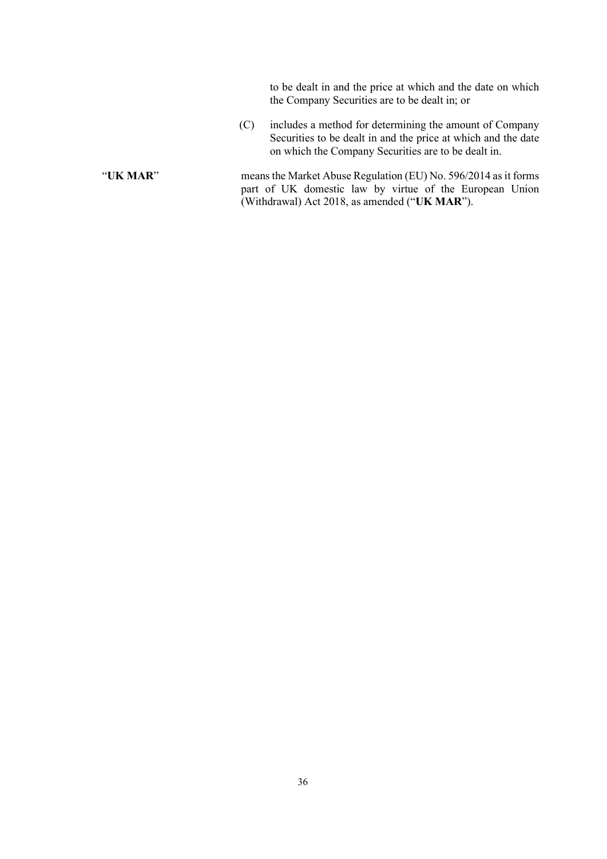to be dealt in and the price at which and the date on which the Company Securities are to be dealt in; or

- (C) includes a method for determining the amount of Company Securities to be dealt in and the price at which and the date on which the Company Securities are to be dealt in.
- "**UK MAR**" means the Market Abuse Regulation (EU) No. 596/2014 as it forms part of UK domestic law by virtue of the European Union (Withdrawal) Act 2018, as amended ("**UK MAR**").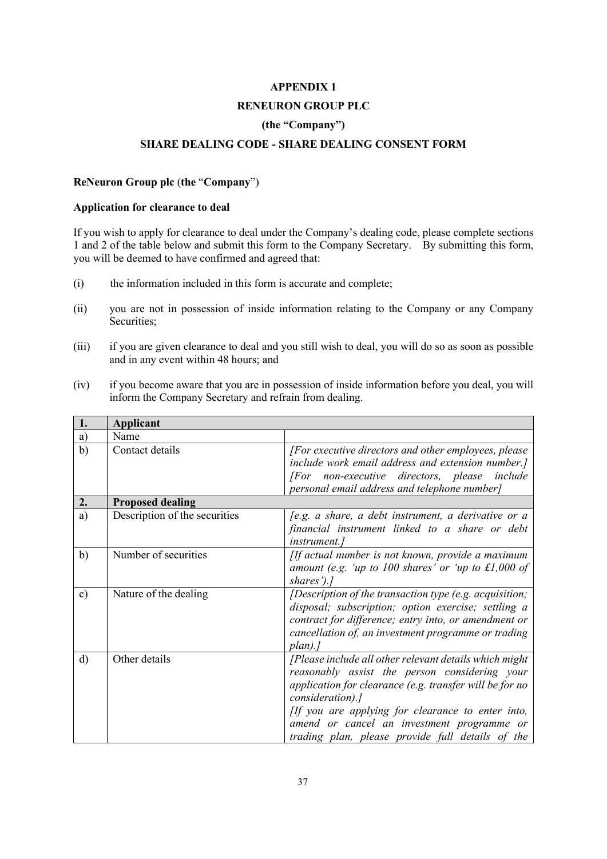#### **APPENDIX 1**

#### **RENEURON GROUP PLC**

# **(the "Company")**

## **SHARE DEALING CODE - SHARE DEALING CONSENT FORM**

#### **ReNeuron Group plc** (**the** "**Company**")

## **Application for clearance to deal**

If you wish to apply for clearance to deal under the Company's dealing code, please complete sections 1 and 2 of the table below and submit this form to the Company Secretary. By submitting this form, you will be deemed to have confirmed and agreed that:

- (i) the information included in this form is accurate and complete;
- (ii) you are not in possession of inside information relating to the Company or any Company Securities;
- (iii) if you are given clearance to deal and you still wish to deal, you will do so as soon as possible and in any event within 48 hours; and
- (iv) if you become aware that you are in possession of inside information before you deal, you will inform the Company Secretary and refrain from dealing.

| 1.            | <b>Applicant</b>              |                                                                                                                                                                                                                                                                                                                                               |
|---------------|-------------------------------|-----------------------------------------------------------------------------------------------------------------------------------------------------------------------------------------------------------------------------------------------------------------------------------------------------------------------------------------------|
| a)            | Name                          |                                                                                                                                                                                                                                                                                                                                               |
| b)            | Contact details               | [For executive directors and other employees, please]<br>include work email address and extension number.]<br>[For non-executive directors, please include<br>personal email address and telephone number]                                                                                                                                    |
| 2.            | <b>Proposed dealing</b>       |                                                                                                                                                                                                                                                                                                                                               |
| a)            | Description of the securities | [e.g. a share, a debt instrument, a derivative or a<br>financial instrument linked to a share or debt<br><i>instrument.]</i>                                                                                                                                                                                                                  |
| b)            | Number of securities          | [If actual number is not known, provide a maximum<br>amount (e.g. 'up to $100$ shares' or 'up to $\pounds1,000$ of<br>shares').]                                                                                                                                                                                                              |
| $\mathbf{c})$ | Nature of the dealing         | [Description of the transaction type (e.g. acquisition;<br>disposal; subscription; option exercise; settling a<br>contract for difference; entry into, or amendment or<br>cancellation of, an investment programme or trading<br>$plan$ .]                                                                                                    |
| $\mathbf{d}$  | Other details                 | [Please include all other relevant details which might<br>reasonably assist the person considering your<br>application for clearance (e.g. transfer will be for no<br>consideration).]<br>[If you are applying for clearance to enter into,<br>amend or cancel an investment programme or<br>trading plan, please provide full details of the |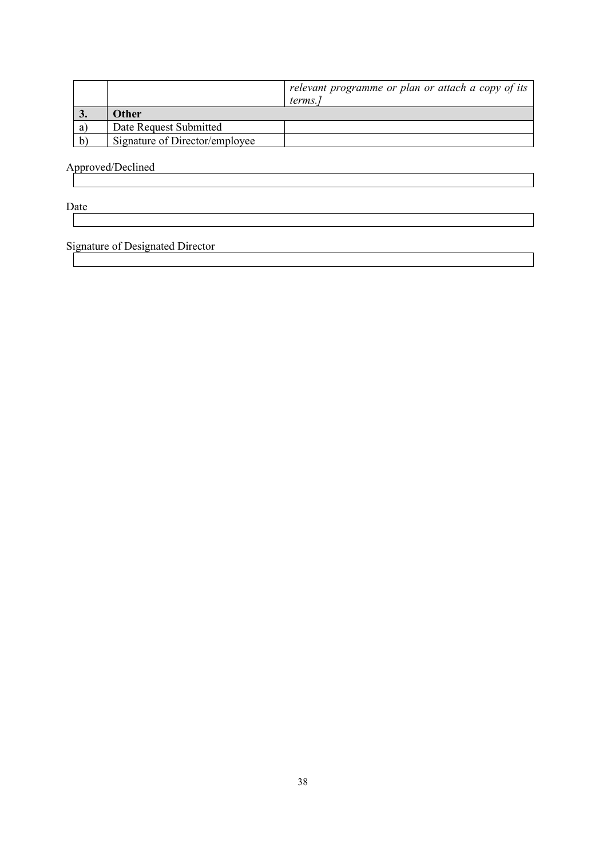|    |                                | relevant programme or plan or attach a copy of its |
|----|--------------------------------|----------------------------------------------------|
|    |                                | terms.                                             |
| J. | Other                          |                                                    |
| a  | Date Request Submitted         |                                                    |
| b, | Signature of Director/employee |                                                    |

Approved/Declined

Date and the state of the state of the state of the state of the state of the state of the state of the state of the state of the state of the state of the state of the state of the state of the state of the state of the s

Signature of Designated Director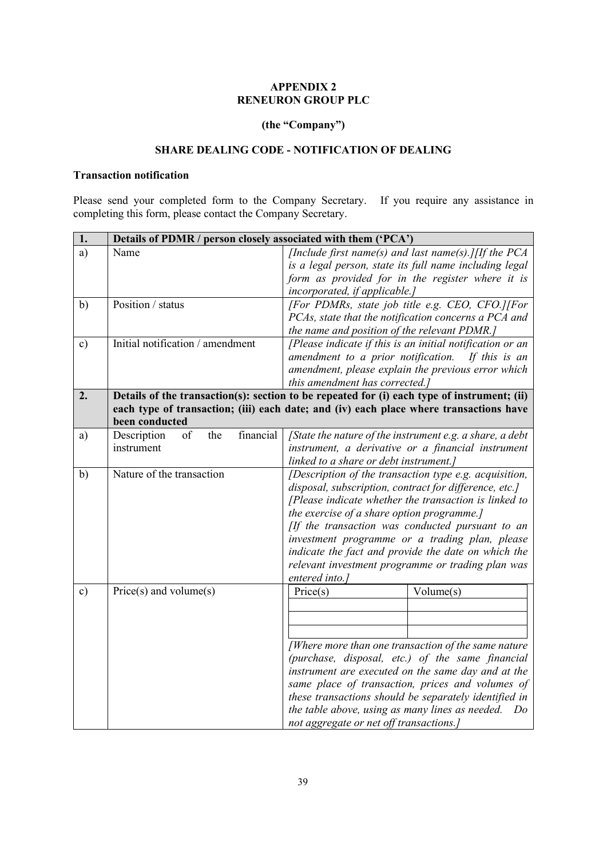# **APPENDIX 2 RENEURON GROUP PLC**

# **(the "Company")**

## **SHARE DEALING CODE - NOTIFICATION OF DEALING**

## **Transaction notification**

Please send your completed form to the Company Secretary. If you require any assistance in completing this form, please contact the Company Secretary.

| 1.            | Details of PDMR / person closely associated with them ('PCA') |                                                                                                                                                                                                                                                                                                                                                                                                                                                             |
|---------------|---------------------------------------------------------------|-------------------------------------------------------------------------------------------------------------------------------------------------------------------------------------------------------------------------------------------------------------------------------------------------------------------------------------------------------------------------------------------------------------------------------------------------------------|
| a)            | Name                                                          | [Include first name(s) and last name(s).] [If the PCA<br>is a legal person, state its full name including legal<br>form as provided for in the register where it is<br>incorporated, if applicable.]                                                                                                                                                                                                                                                        |
| b)            | Position / status                                             | [For PDMRs, state job title e.g. CEO, CFO.][For<br>PCAs, state that the notification concerns a PCA and<br>the name and position of the relevant PDMR.]                                                                                                                                                                                                                                                                                                     |
| $\mathbf{c})$ | Initial notification / amendment                              | [Please indicate if this is an initial notification or an<br>amendment to a prior notification. If this is an<br>amendment, please explain the previous error which<br>this amendment has corrected.]                                                                                                                                                                                                                                                       |
| 2.            | been conducted                                                | Details of the transaction(s): section to be repeated for (i) each type of instrument; (ii)<br>each type of transaction; (iii) each date; and (iv) each place where transactions have                                                                                                                                                                                                                                                                       |
| a)            | the<br>financial<br>Description<br>of<br>instrument           | $\int$ State the nature of the instrument e.g. a share, a debt<br>instrument, a derivative or a financial instrument<br>linked to a share or debt instrument.]                                                                                                                                                                                                                                                                                              |
| b)            | Nature of the transaction                                     | [Description of the transaction type e.g. acquisition,<br>disposal, subscription, contract for difference, etc.]<br>[Please indicate whether the transaction is linked to<br>the exercise of a share option programme.]<br>[If the transaction was conducted pursuant to an<br>investment programme or a trading plan, please<br>indicate the fact and provide the date on which the<br>relevant investment programme or trading plan was<br>entered into.] |
| $\mathbf{c})$ | $Price(s)$ and volume $(s)$                                   | Price(s)<br>Volume(s)<br>[Where more than one transaction of the same nature<br>(purchase, disposal, etc.) of the same financial<br>instrument are executed on the same day and at the<br>same place of transaction, prices and volumes of<br>these transactions should be separately identified in<br>the table above, using as many lines as needed.<br>Do<br>not aggregate or net off transactions.]                                                     |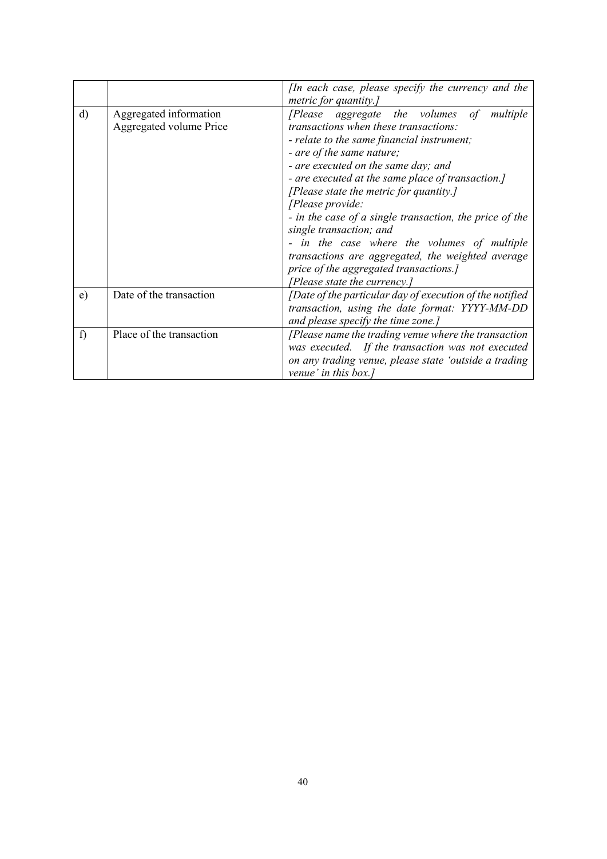|              |                                                   | [In each case, please specify the currency and the                                                                                                                                                                                                                                                                                                                                                                                                                                                                                                        |
|--------------|---------------------------------------------------|-----------------------------------------------------------------------------------------------------------------------------------------------------------------------------------------------------------------------------------------------------------------------------------------------------------------------------------------------------------------------------------------------------------------------------------------------------------------------------------------------------------------------------------------------------------|
| $\rm d$      | Aggregated information<br>Aggregated volume Price | metric for quantity.]<br>[Please aggregate the volumes<br>$\sigma f$<br>multiple<br>transactions when these transactions:<br>- relate to the same financial instrument;<br>- are of the same nature;<br>- are executed on the same day; and<br>- are executed at the same place of transaction.]<br>[Please state the metric for quantity.]<br>[Please provide:<br>- in the case of a single transaction, the price of the<br>single transaction; and<br>- in the case where the volumes of multiple<br>transactions are aggregated, the weighted average |
|              |                                                   | price of the aggregated transactions.]<br>[Please state the currency.]                                                                                                                                                                                                                                                                                                                                                                                                                                                                                    |
| $\epsilon$ ) | Date of the transaction                           | [Date of the particular day of execution of the notified<br>transaction, using the date format: YYYY-MM-DD<br>and please specify the time zone.]                                                                                                                                                                                                                                                                                                                                                                                                          |
| f)           | Place of the transaction                          | [Please name the trading venue where the transaction<br>was executed. If the transaction was not executed<br>on any trading venue, please state 'outside a trading<br>venue' in this box.]                                                                                                                                                                                                                                                                                                                                                                |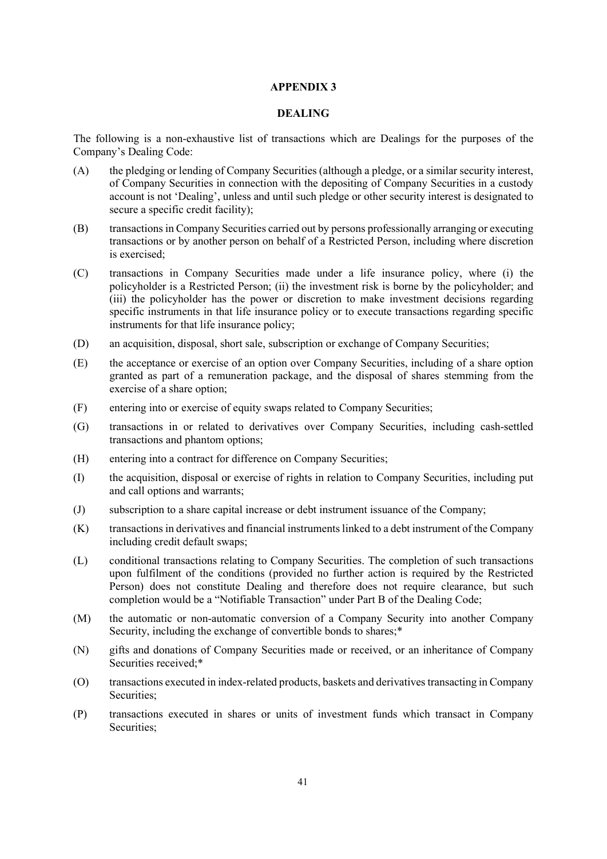#### **APPENDIX 3**

#### **DEALING**

The following is a non-exhaustive list of transactions which are Dealings for the purposes of the Company's Dealing Code:

- (A) the pledging or lending of Company Securities (although a pledge, or a similar security interest, of Company Securities in connection with the depositing of Company Securities in a custody account is not 'Dealing', unless and until such pledge or other security interest is designated to secure a specific credit facility);
- (B) transactions in Company Securities carried out by persons professionally arranging or executing transactions or by another person on behalf of a Restricted Person, including where discretion is exercised;
- (C) transactions in Company Securities made under a life insurance policy, where (i) the policyholder is a Restricted Person; (ii) the investment risk is borne by the policyholder; and (iii) the policyholder has the power or discretion to make investment decisions regarding specific instruments in that life insurance policy or to execute transactions regarding specific instruments for that life insurance policy;
- (D) an acquisition, disposal, short sale, subscription or exchange of Company Securities;
- (E) the acceptance or exercise of an option over Company Securities, including of a share option granted as part of a remuneration package, and the disposal of shares stemming from the exercise of a share option;
- (F) entering into or exercise of equity swaps related to Company Securities;
- (G) transactions in or related to derivatives over Company Securities, including cash-settled transactions and phantom options;
- (H) entering into a contract for difference on Company Securities;
- (I) the acquisition, disposal or exercise of rights in relation to Company Securities, including put and call options and warrants;
- (J) subscription to a share capital increase or debt instrument issuance of the Company;
- (K) transactions in derivatives and financial instruments linked to a debt instrument of the Company including credit default swaps;
- (L) conditional transactions relating to Company Securities. The completion of such transactions upon fulfilment of the conditions (provided no further action is required by the Restricted Person) does not constitute Dealing and therefore does not require clearance, but such completion would be a "Notifiable Transaction" under Part B of the Dealing Code;
- (M) the automatic or non-automatic conversion of a Company Security into another Company Security, including the exchange of convertible bonds to shares;\*
- (N) gifts and donations of Company Securities made or received, or an inheritance of Company Securities received;\*
- (O) transactions executed in index-related products, baskets and derivatives transacting in Company Securities;
- (P) transactions executed in shares or units of investment funds which transact in Company Securities;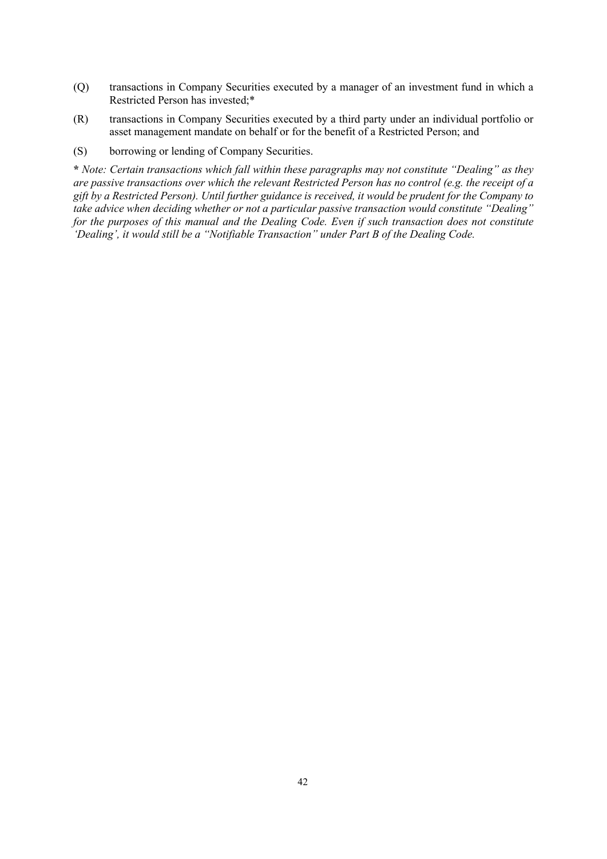- (Q) transactions in Company Securities executed by a manager of an investment fund in which a Restricted Person has invested;\*
- (R) transactions in Company Securities executed by a third party under an individual portfolio or asset management mandate on behalf or for the benefit of a Restricted Person; and
- (S) borrowing or lending of Company Securities.

**\*** *Note: Certain transactions which fall within these paragraphs may not constitute "Dealing" as they are passive transactions over which the relevant Restricted Person has no control (e.g. the receipt of a gift by a Restricted Person). Until further guidance is received, it would be prudent for the Company to take advice when deciding whether or not a particular passive transaction would constitute "Dealing" for the purposes of this manual and the Dealing Code. Even if such transaction does not constitute 'Dealing', it would still be a "Notifiable Transaction" under Part B of the Dealing Code.*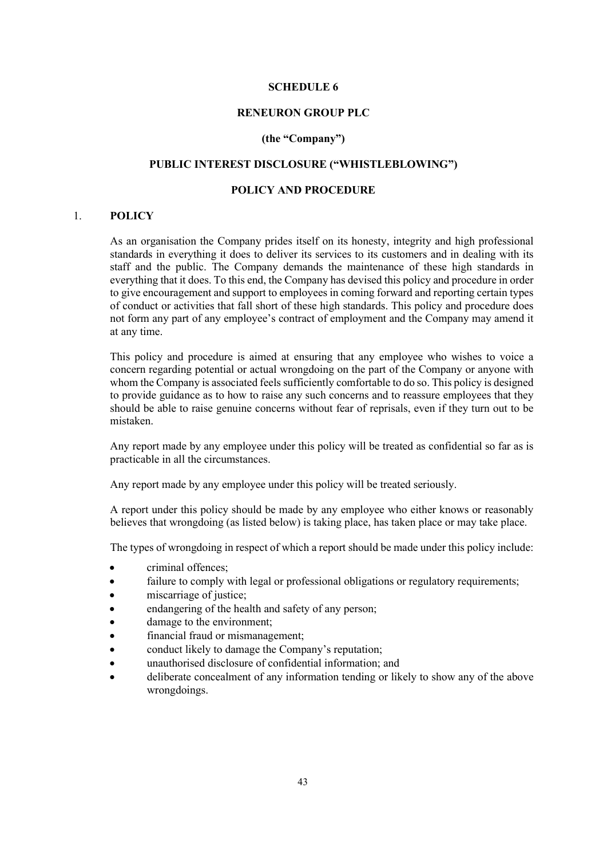#### **SCHEDULE 6**

### **RENEURON GROUP PLC**

#### **(the "Company")**

# **PUBLIC INTEREST DISCLOSURE ("WHISTLEBLOWING")**

## **POLICY AND PROCEDURE**

#### 1. **POLICY**

As an organisation the Company prides itself on its honesty, integrity and high professional standards in everything it does to deliver its services to its customers and in dealing with its staff and the public. The Company demands the maintenance of these high standards in everything that it does. To this end, the Company has devised this policy and procedure in order to give encouragement and support to employees in coming forward and reporting certain types of conduct or activities that fall short of these high standards. This policy and procedure does not form any part of any employee's contract of employment and the Company may amend it at any time.

This policy and procedure is aimed at ensuring that any employee who wishes to voice a concern regarding potential or actual wrongdoing on the part of the Company or anyone with whom the Company is associated feels sufficiently comfortable to do so. This policy is designed to provide guidance as to how to raise any such concerns and to reassure employees that they should be able to raise genuine concerns without fear of reprisals, even if they turn out to be mistaken.

Any report made by any employee under this policy will be treated as confidential so far as is practicable in all the circumstances.

Any report made by any employee under this policy will be treated seriously.

A report under this policy should be made by any employee who either knows or reasonably believes that wrongdoing (as listed below) is taking place, has taken place or may take place.

The types of wrongdoing in respect of which a report should be made under this policy include:

- criminal offences;
- failure to comply with legal or professional obligations or regulatory requirements;
- miscarriage of justice;
- endangering of the health and safety of any person;
- damage to the environment:
- financial fraud or mismanagement;
- conduct likely to damage the Company's reputation;
- unauthorised disclosure of confidential information; and
- deliberate concealment of any information tending or likely to show any of the above wrongdoings.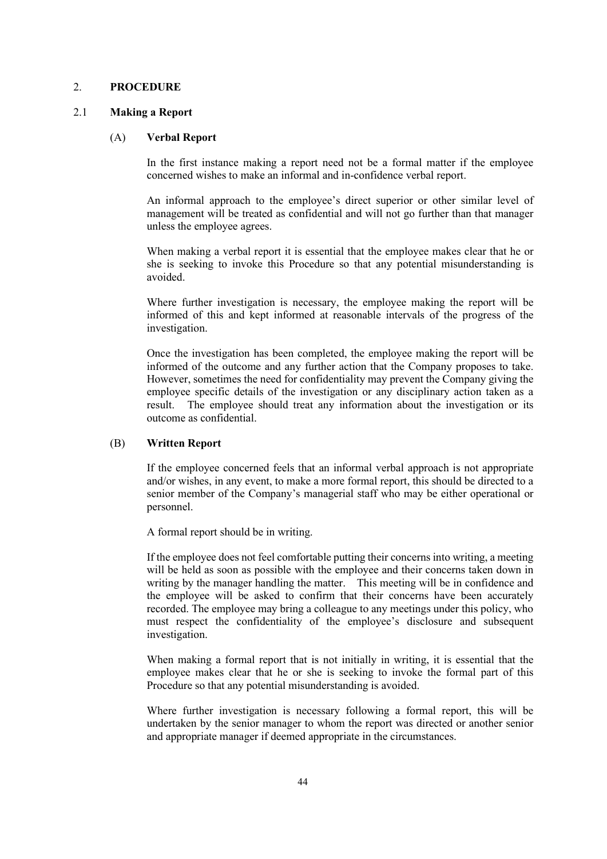#### 2. **PROCEDURE**

#### 2.1 **Making a Report**

#### (A) **Verbal Report**

In the first instance making a report need not be a formal matter if the employee concerned wishes to make an informal and in-confidence verbal report.

An informal approach to the employee's direct superior or other similar level of management will be treated as confidential and will not go further than that manager unless the employee agrees.

When making a verbal report it is essential that the employee makes clear that he or she is seeking to invoke this Procedure so that any potential misunderstanding is avoided.

Where further investigation is necessary, the employee making the report will be informed of this and kept informed at reasonable intervals of the progress of the investigation.

Once the investigation has been completed, the employee making the report will be informed of the outcome and any further action that the Company proposes to take. However, sometimes the need for confidentiality may prevent the Company giving the employee specific details of the investigation or any disciplinary action taken as a result. The employee should treat any information about the investigation or its outcome as confidential.

#### (B) **Written Report**

If the employee concerned feels that an informal verbal approach is not appropriate and/or wishes, in any event, to make a more formal report, this should be directed to a senior member of the Company's managerial staff who may be either operational or personnel.

A formal report should be in writing.

If the employee does not feel comfortable putting their concerns into writing, a meeting will be held as soon as possible with the employee and their concerns taken down in writing by the manager handling the matter. This meeting will be in confidence and the employee will be asked to confirm that their concerns have been accurately recorded. The employee may bring a colleague to any meetings under this policy, who must respect the confidentiality of the employee's disclosure and subsequent investigation.

When making a formal report that is not initially in writing, it is essential that the employee makes clear that he or she is seeking to invoke the formal part of this Procedure so that any potential misunderstanding is avoided.

Where further investigation is necessary following a formal report, this will be undertaken by the senior manager to whom the report was directed or another senior and appropriate manager if deemed appropriate in the circumstances.